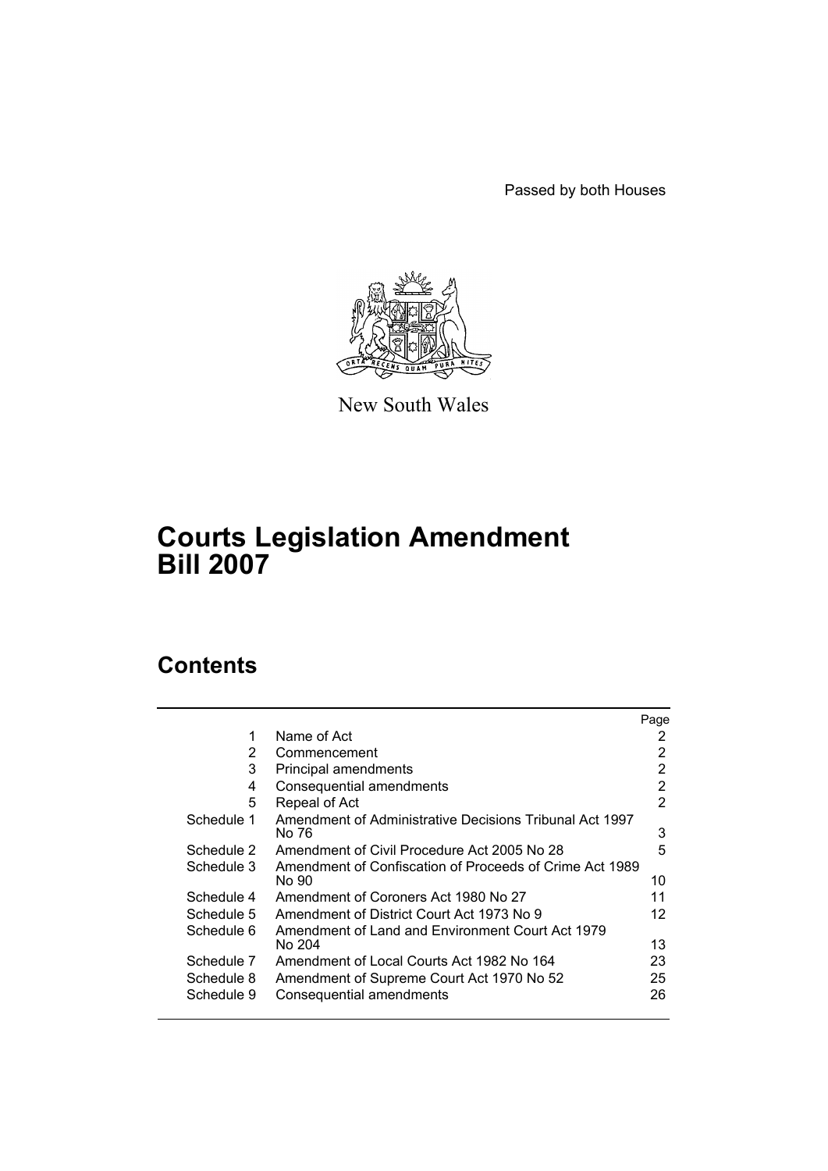Passed by both Houses



New South Wales

# **Courts Legislation Amendment Bill 2007**

# **Contents**

|            |                                                                  | Page |
|------------|------------------------------------------------------------------|------|
| 1          | Name of Act                                                      | 2    |
| 2          | Commencement                                                     | 2    |
| 3          | Principal amendments                                             | 2    |
| 4          | Consequential amendments                                         | 2    |
| 5          | Repeal of Act                                                    | 2    |
| Schedule 1 | Amendment of Administrative Decisions Tribunal Act 1997<br>No 76 | 3    |
| Schedule 2 | Amendment of Civil Procedure Act 2005 No 28                      | 5    |
| Schedule 3 | Amendment of Confiscation of Proceeds of Crime Act 1989<br>No 90 | 10   |
| Schedule 4 | Amendment of Coroners Act 1980 No 27                             | 11   |
| Schedule 5 | Amendment of District Court Act 1973 No 9                        | 12   |
| Schedule 6 | Amendment of Land and Environment Court Act 1979<br>No 204       | 13   |
| Schedule 7 | Amendment of Local Courts Act 1982 No 164                        | 23   |
| Schedule 8 | Amendment of Supreme Court Act 1970 No 52                        | 25   |
| Schedule 9 | Consequential amendments                                         | 26   |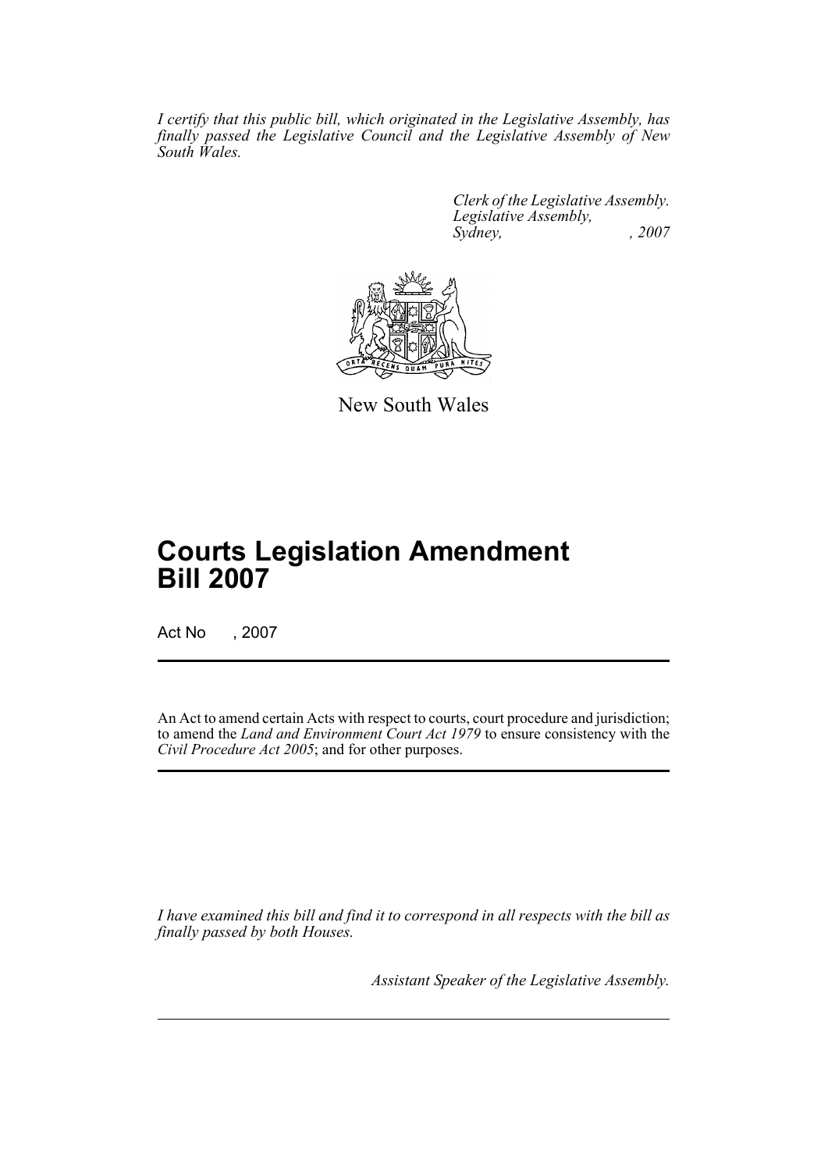*I certify that this public bill, which originated in the Legislative Assembly, has finally passed the Legislative Council and the Legislative Assembly of New South Wales.*

> *Clerk of the Legislative Assembly. Legislative Assembly, Sydney, , 2007*



New South Wales

# **Courts Legislation Amendment Bill 2007**

Act No , 2007

An Act to amend certain Acts with respect to courts, court procedure and jurisdiction; to amend the *Land and Environment Court Act 1979* to ensure consistency with the *Civil Procedure Act 2005*; and for other purposes.

*I have examined this bill and find it to correspond in all respects with the bill as finally passed by both Houses.*

*Assistant Speaker of the Legislative Assembly.*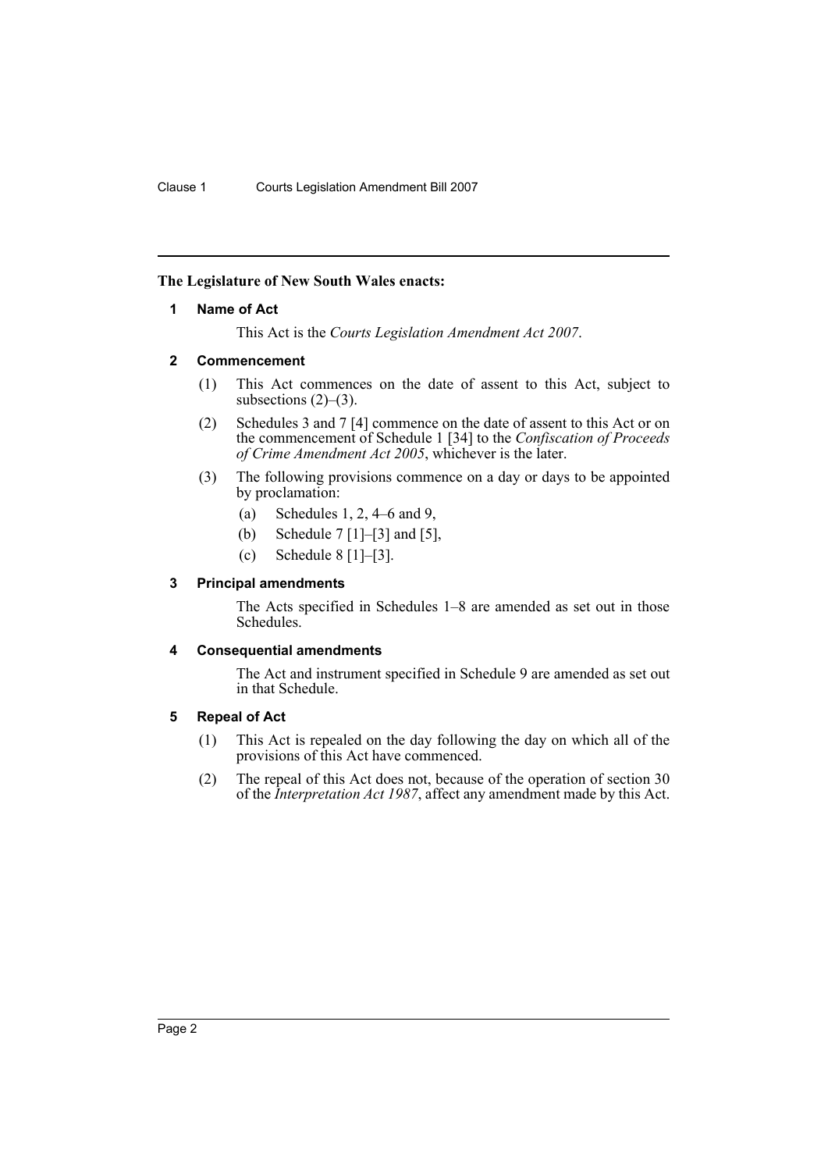### <span id="page-2-0"></span>**The Legislature of New South Wales enacts:**

#### **1 Name of Act**

This Act is the *Courts Legislation Amendment Act 2007*.

#### <span id="page-2-1"></span>**2 Commencement**

- (1) This Act commences on the date of assent to this Act, subject to subsections  $(2)$ – $(3)$ .
- (2) Schedules 3 and 7 [4] commence on the date of assent to this Act or on the commencement of Schedule 1 [34] to the *Confiscation of Proceeds of Crime Amendment Act 2005*, whichever is the later.
- (3) The following provisions commence on a day or days to be appointed by proclamation:
	- (a) Schedules 1, 2, 4–6 and 9,
	- (b) Schedule 7 [1]–[3] and [5],
	- (c) Schedule 8 [1]–[3].

### <span id="page-2-2"></span>**3 Principal amendments**

The Acts specified in Schedules 1–8 are amended as set out in those Schedules.

#### <span id="page-2-3"></span>**4 Consequential amendments**

The Act and instrument specified in Schedule 9 are amended as set out in that Schedule.

#### <span id="page-2-4"></span>**5 Repeal of Act**

- (1) This Act is repealed on the day following the day on which all of the provisions of this Act have commenced.
- (2) The repeal of this Act does not, because of the operation of section 30 of the *Interpretation Act 1987*, affect any amendment made by this Act.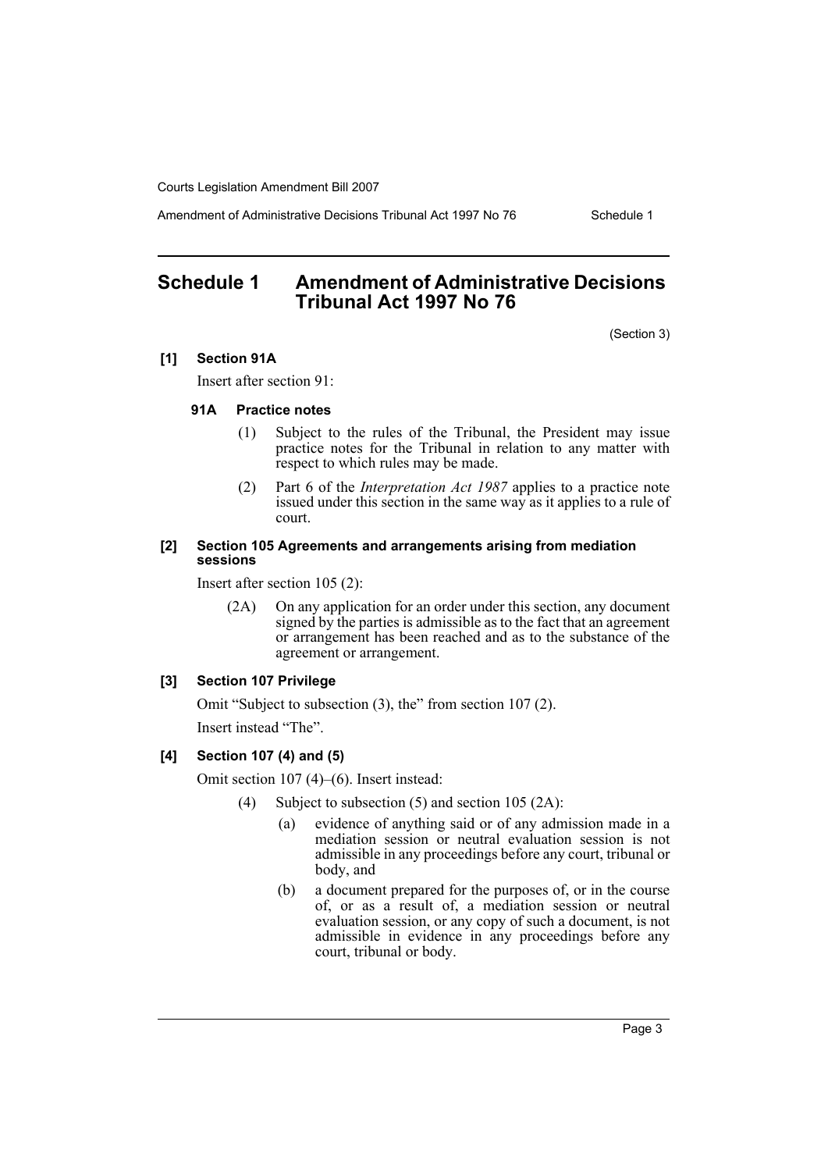Amendment of Administrative Decisions Tribunal Act 1997 No 76 Schedule 1

# <span id="page-3-0"></span>**Schedule 1 Amendment of Administrative Decisions Tribunal Act 1997 No 76**

(Section 3)

#### **[1] Section 91A**

Insert after section 91:

#### **91A Practice notes**

- (1) Subject to the rules of the Tribunal, the President may issue practice notes for the Tribunal in relation to any matter with respect to which rules may be made.
- (2) Part 6 of the *Interpretation Act 1987* applies to a practice note issued under this section in the same way as it applies to a rule of court.

#### **[2] Section 105 Agreements and arrangements arising from mediation sessions**

Insert after section 105 (2):

(2A) On any application for an order under this section, any document signed by the parties is admissible as to the fact that an agreement or arrangement has been reached and as to the substance of the agreement or arrangement.

# **[3] Section 107 Privilege**

Omit "Subject to subsection (3), the" from section 107 (2).

Insert instead "The".

#### **[4] Section 107 (4) and (5)**

Omit section 107 (4)–(6). Insert instead:

- (4) Subject to subsection (5) and section 105 (2A):
	- (a) evidence of anything said or of any admission made in a mediation session or neutral evaluation session is not admissible in any proceedings before any court, tribunal or body, and
	- (b) a document prepared for the purposes of, or in the course of, or as a result of, a mediation session or neutral evaluation session, or any copy of such a document, is not admissible in evidence in any proceedings before any court, tribunal or body.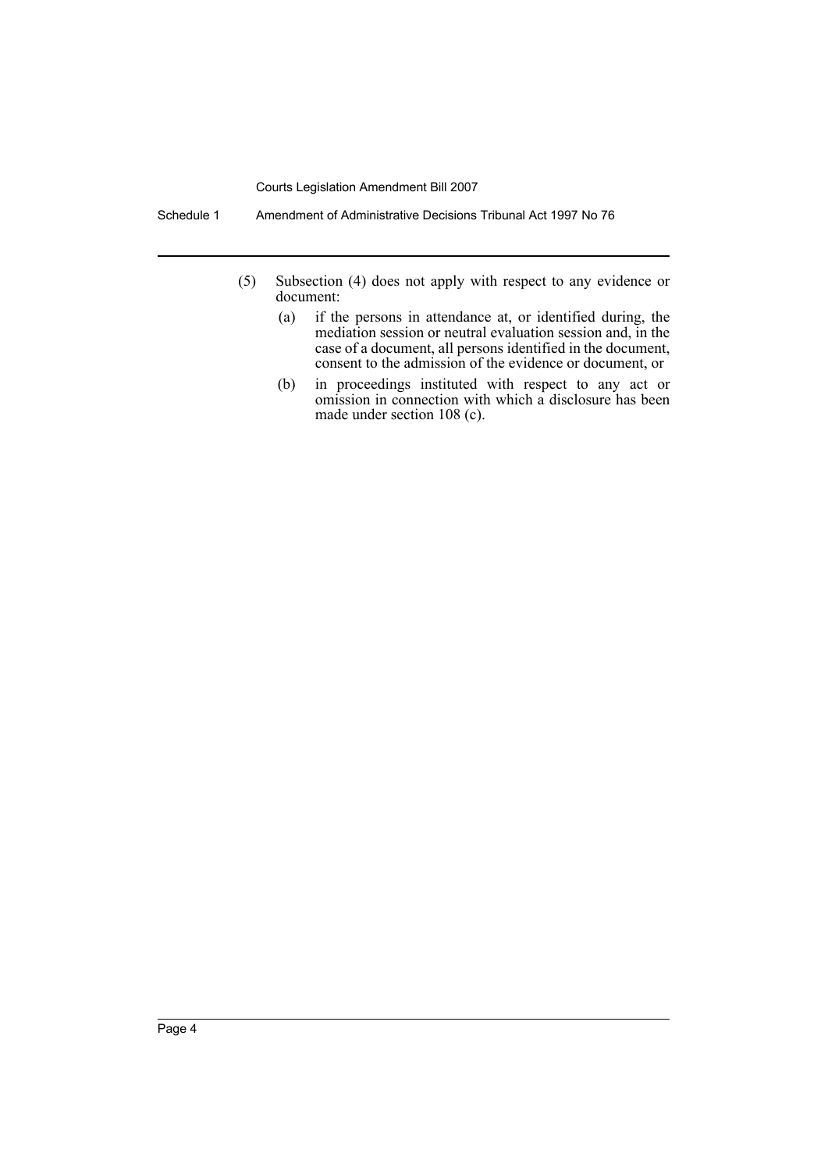Schedule 1 Amendment of Administrative Decisions Tribunal Act 1997 No 76

- (5) Subsection (4) does not apply with respect to any evidence or document:
	- (a) if the persons in attendance at, or identified during, the mediation session or neutral evaluation session and, in the case of a document, all persons identified in the document, consent to the admission of the evidence or document, or
	- (b) in proceedings instituted with respect to any act or omission in connection with which a disclosure has been made under section 108 (c).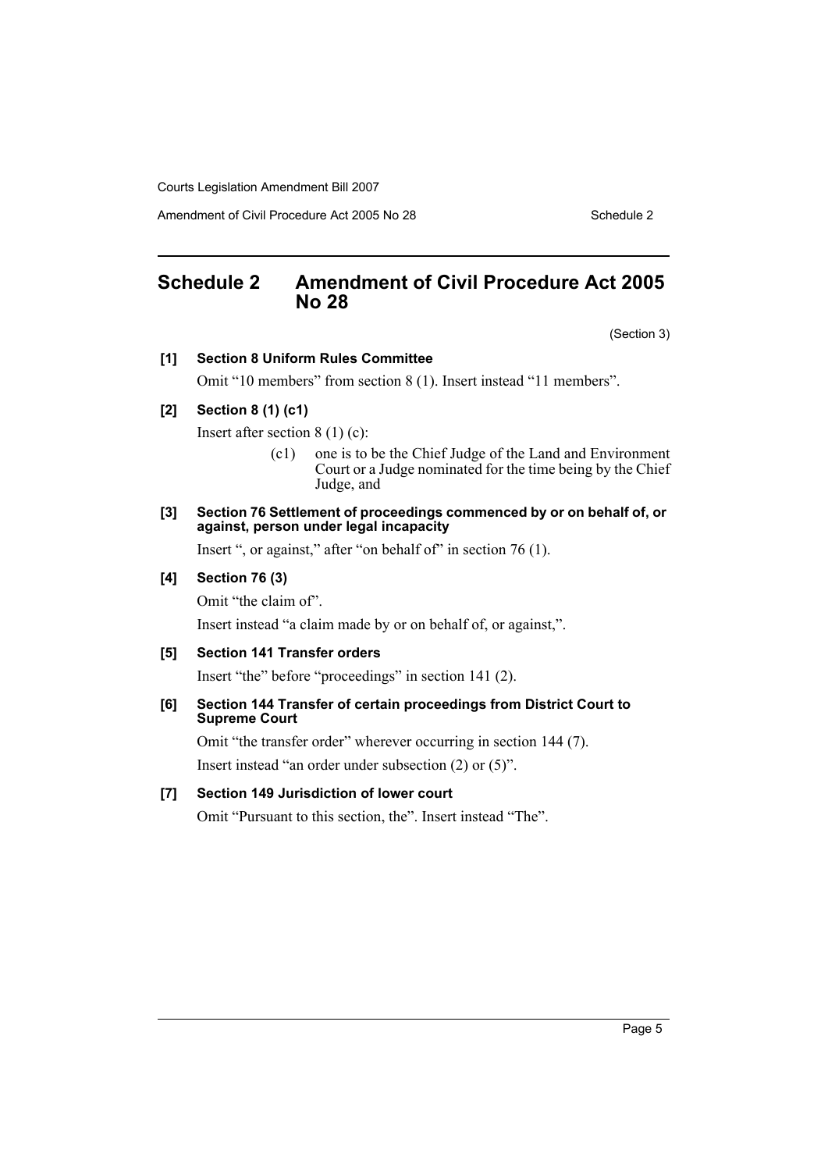Amendment of Civil Procedure Act 2005 No 28 Schedule 2

# <span id="page-5-0"></span>**Schedule 2 Amendment of Civil Procedure Act 2005 No 28**

(Section 3)

### **[1] Section 8 Uniform Rules Committee**

Omit "10 members" from section 8 (1). Insert instead "11 members".

# **[2] Section 8 (1) (c1)**

Insert after section 8 (1) (c):

- (c1) one is to be the Chief Judge of the Land and Environment Court or a Judge nominated for the time being by the Chief Judge, and
- **[3] Section 76 Settlement of proceedings commenced by or on behalf of, or against, person under legal incapacity**

Insert ", or against," after "on behalf of" in section 76 (1).

### **[4] Section 76 (3)**

Omit "the claim of".

Insert instead "a claim made by or on behalf of, or against,".

# **[5] Section 141 Transfer orders**

Insert "the" before "proceedings" in section 141 (2).

#### **[6] Section 144 Transfer of certain proceedings from District Court to Supreme Court**

Omit "the transfer order" wherever occurring in section 144 (7).

Insert instead "an order under subsection (2) or (5)".

#### **[7] Section 149 Jurisdiction of lower court**

Omit "Pursuant to this section, the". Insert instead "The".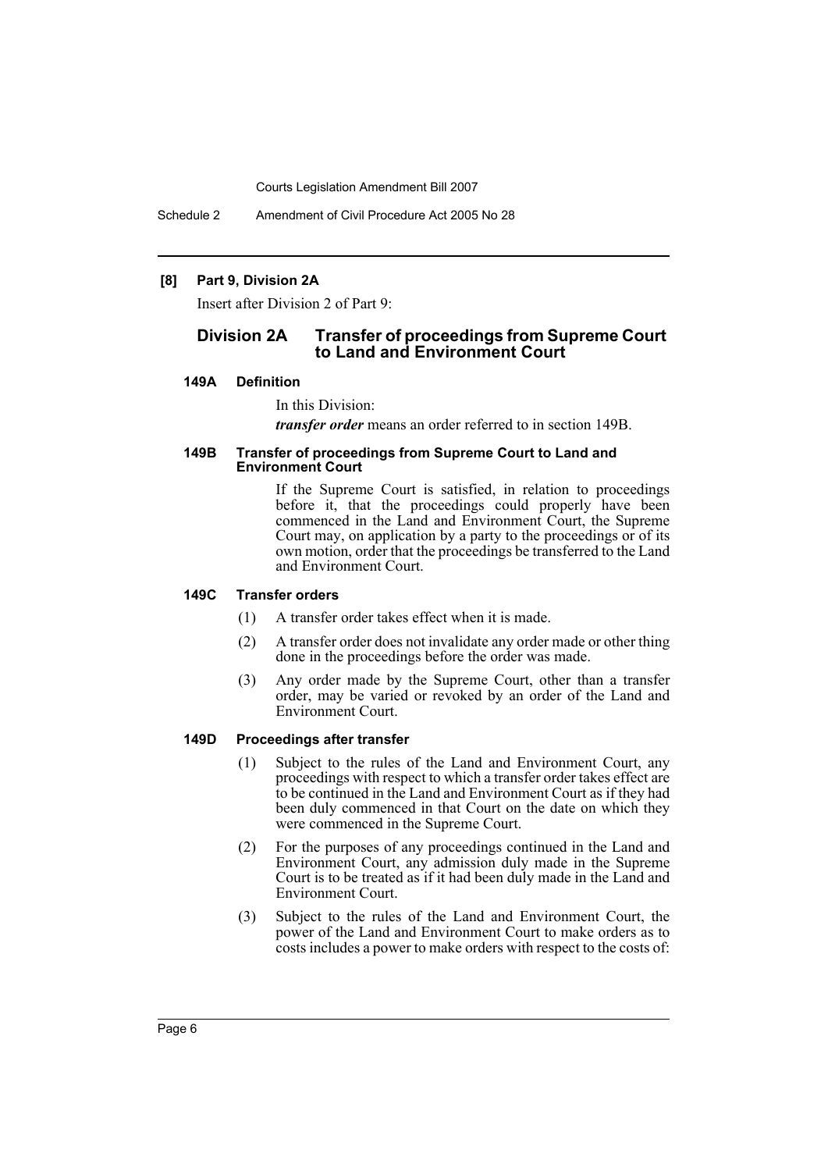Schedule 2 Amendment of Civil Procedure Act 2005 No 28

#### **[8] Part 9, Division 2A**

Insert after Division 2 of Part 9:

# **Division 2A Transfer of proceedings from Supreme Court to Land and Environment Court**

#### **149A Definition**

In this Division:

*transfer order* means an order referred to in section 149B.

#### **149B Transfer of proceedings from Supreme Court to Land and Environment Court**

If the Supreme Court is satisfied, in relation to proceedings before it, that the proceedings could properly have been commenced in the Land and Environment Court, the Supreme Court may, on application by a party to the proceedings or of its own motion, order that the proceedings be transferred to the Land and Environment Court.

#### **149C Transfer orders**

- (1) A transfer order takes effect when it is made.
- (2) A transfer order does not invalidate any order made or other thing done in the proceedings before the order was made.
- (3) Any order made by the Supreme Court, other than a transfer order, may be varied or revoked by an order of the Land and Environment Court.

### **149D Proceedings after transfer**

- (1) Subject to the rules of the Land and Environment Court, any proceedings with respect to which a transfer order takes effect are to be continued in the Land and Environment Court as if they had been duly commenced in that Court on the date on which they were commenced in the Supreme Court.
- (2) For the purposes of any proceedings continued in the Land and Environment Court, any admission duly made in the Supreme Court is to be treated as if it had been duly made in the Land and Environment Court.
- (3) Subject to the rules of the Land and Environment Court, the power of the Land and Environment Court to make orders as to costs includes a power to make orders with respect to the costs of: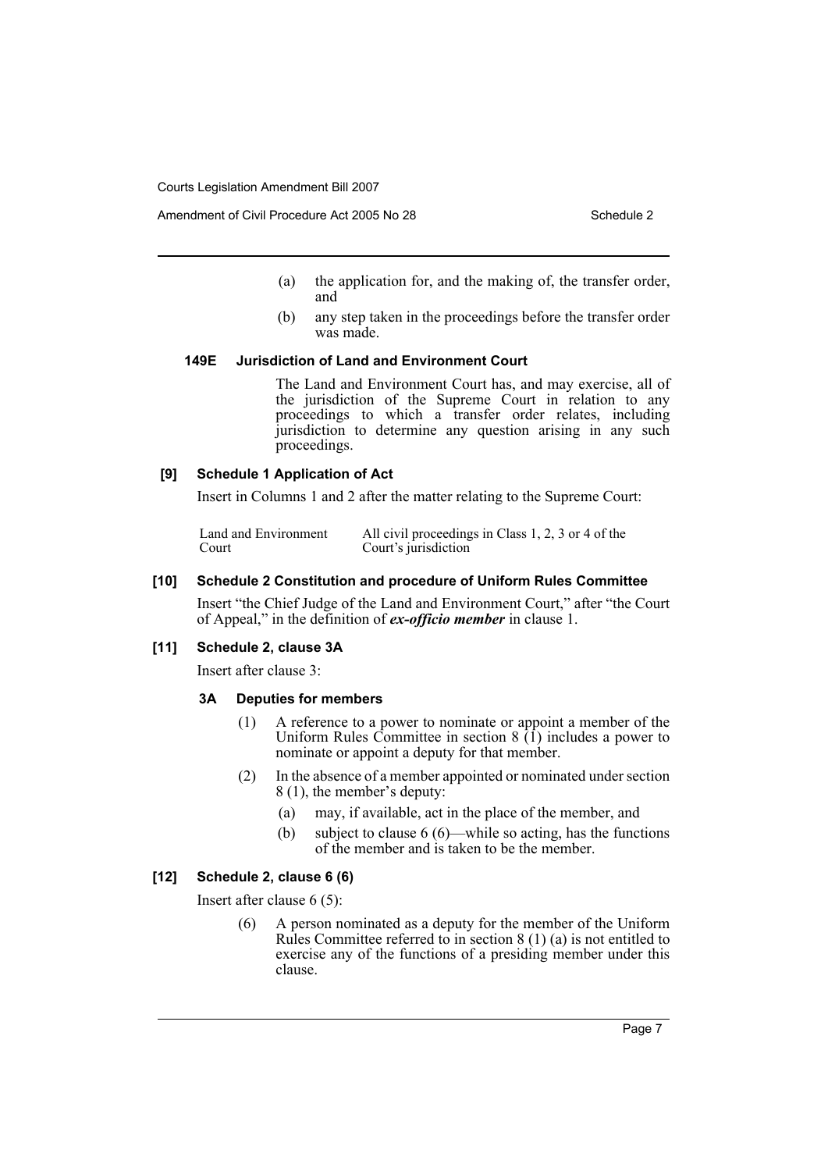- (a) the application for, and the making of, the transfer order, and
- (b) any step taken in the proceedings before the transfer order was made.

# **149E Jurisdiction of Land and Environment Court**

The Land and Environment Court has, and may exercise, all of the jurisdiction of the Supreme Court in relation to any proceedings to which a transfer order relates, including jurisdiction to determine any question arising in any such proceedings.

#### **[9] Schedule 1 Application of Act**

Insert in Columns 1 and 2 after the matter relating to the Supreme Court:

Land and Environment Court All civil proceedings in Class 1, 2, 3 or 4 of the Court's jurisdiction

#### **[10] Schedule 2 Constitution and procedure of Uniform Rules Committee**

Insert "the Chief Judge of the Land and Environment Court," after "the Court of Appeal," in the definition of *ex-officio member* in clause 1.

#### **[11] Schedule 2, clause 3A**

Insert after clause 3:

#### **3A Deputies for members**

- (1) A reference to a power to nominate or appoint a member of the Uniform Rules Committee in section  $8(1)$  includes a power to nominate or appoint a deputy for that member.
- (2) In the absence of a member appointed or nominated under section 8 (1), the member's deputy:
	- (a) may, if available, act in the place of the member, and
	- (b) subject to clause 6 (6)—while so acting, has the functions of the member and is taken to be the member.

#### **[12] Schedule 2, clause 6 (6)**

Insert after clause 6 (5):

(6) A person nominated as a deputy for the member of the Uniform Rules Committee referred to in section 8 (1) (a) is not entitled to exercise any of the functions of a presiding member under this clause.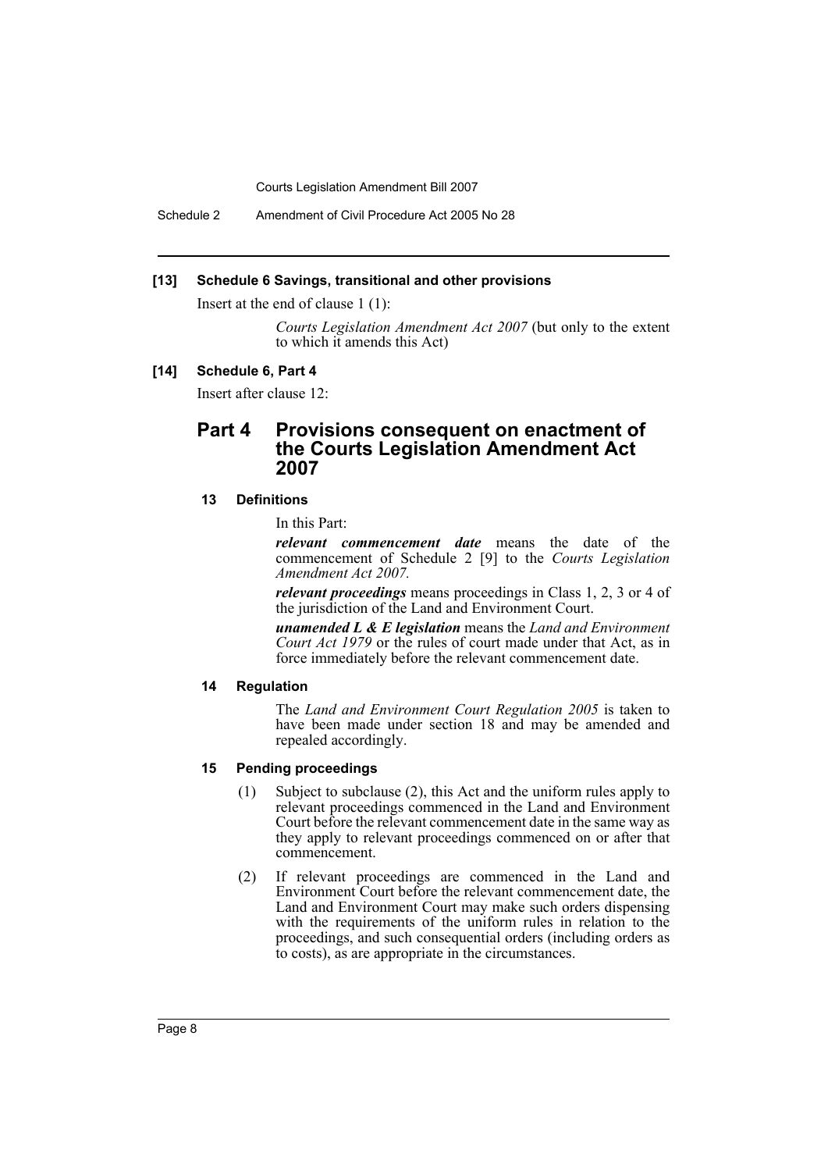Schedule 2 Amendment of Civil Procedure Act 2005 No 28

#### **[13] Schedule 6 Savings, transitional and other provisions**

Insert at the end of clause 1 (1):

*Courts Legislation Amendment Act 2007* (but only to the extent to which it amends this Act)

#### **[14] Schedule 6, Part 4**

Insert after clause 12:

# **Part 4 Provisions consequent on enactment of the Courts Legislation Amendment Act 2007**

#### **13 Definitions**

In this Part:

*relevant commencement date* means the date of the commencement of Schedule 2 [9] to the *Courts Legislation Amendment Act 2007.*

*relevant proceedings* means proceedings in Class 1, 2, 3 or 4 of the jurisdiction of the Land and Environment Court.

*unamended L & E legislation* means the *Land and Environment Court Act 1979* or the rules of court made under that Act, as in force immediately before the relevant commencement date.

#### **14 Regulation**

The *Land and Environment Court Regulation 2005* is taken to have been made under section 18 and may be amended and repealed accordingly.

#### **15 Pending proceedings**

- (1) Subject to subclause (2), this Act and the uniform rules apply to relevant proceedings commenced in the Land and Environment Court before the relevant commencement date in the same way as they apply to relevant proceedings commenced on or after that commencement.
- (2) If relevant proceedings are commenced in the Land and Environment Court before the relevant commencement date, the Land and Environment Court may make such orders dispensing with the requirements of the uniform rules in relation to the proceedings, and such consequential orders (including orders as to costs), as are appropriate in the circumstances.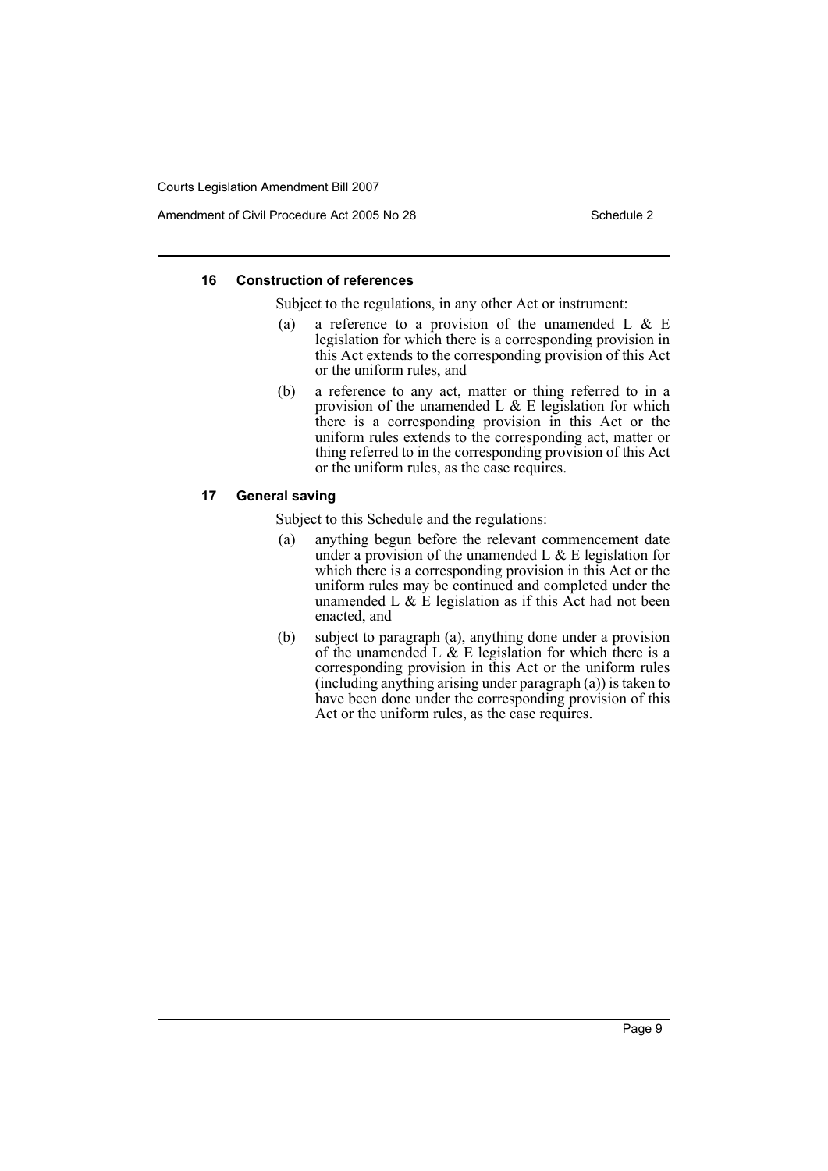Amendment of Civil Procedure Act 2005 No 28 Schedule 2

#### **16 Construction of references**

Subject to the regulations, in any other Act or instrument:

- (a) a reference to a provision of the unamended L  $& \& E$ legislation for which there is a corresponding provision in this Act extends to the corresponding provision of this Act or the uniform rules, and
- (b) a reference to any act, matter or thing referred to in a provision of the unamended L  $\&$  E legislation for which there is a corresponding provision in this Act or the uniform rules extends to the corresponding act, matter or thing referred to in the corresponding provision of this Act or the uniform rules, as the case requires.

#### **17 General saving**

Subject to this Schedule and the regulations:

- (a) anything begun before the relevant commencement date under a provision of the unamended  $L \& E$  legislation for which there is a corresponding provision in this Act or the uniform rules may be continued and completed under the unamended L  $\&$  E legislation as if this Act had not been enacted, and
- (b) subject to paragraph (a), anything done under a provision of the unamended L  $\&$  E legislation for which there is a corresponding provision in this Act or the uniform rules (including anything arising under paragraph (a)) is taken to have been done under the corresponding provision of this Act or the uniform rules, as the case requires.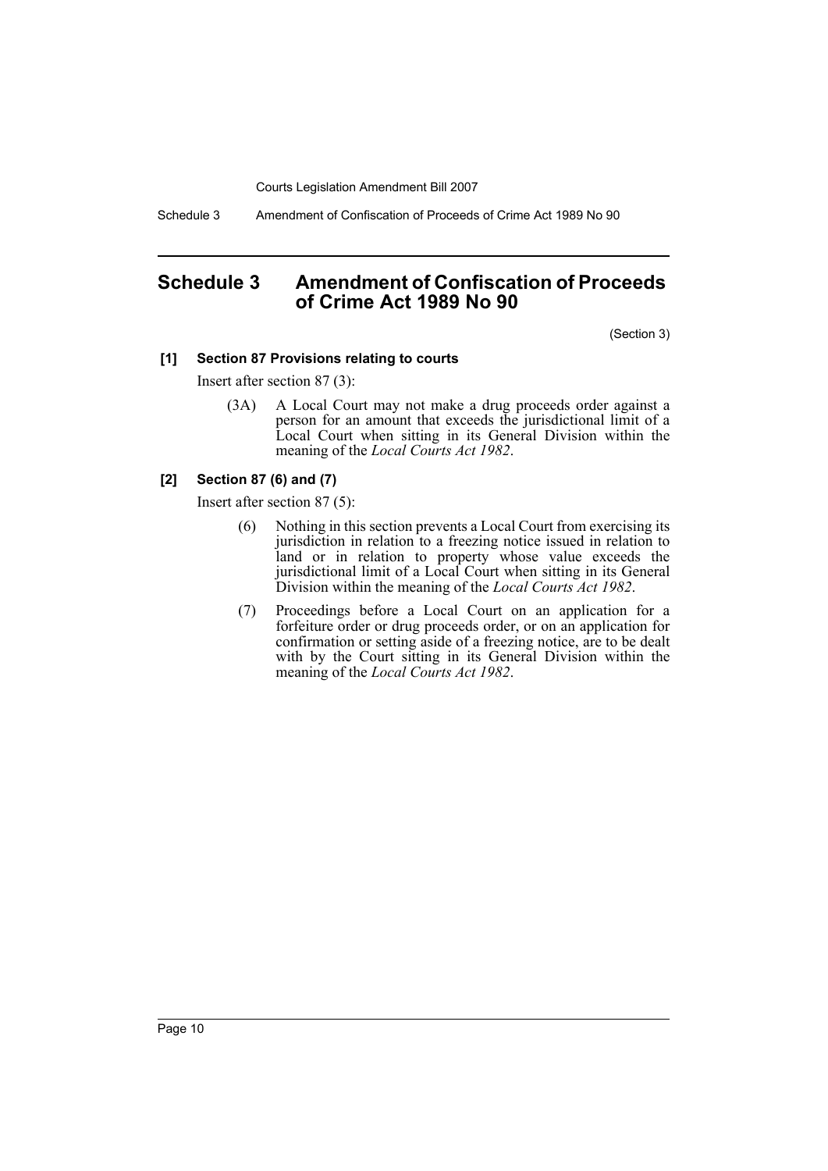Schedule 3 Amendment of Confiscation of Proceeds of Crime Act 1989 No 90

# <span id="page-10-0"></span>**Schedule 3 Amendment of Confiscation of Proceeds of Crime Act 1989 No 90**

(Section 3)

### **[1] Section 87 Provisions relating to courts**

Insert after section 87 (3):

(3A) A Local Court may not make a drug proceeds order against a person for an amount that exceeds the jurisdictional limit of a Local Court when sitting in its General Division within the meaning of the *Local Courts Act 1982*.

# **[2] Section 87 (6) and (7)**

Insert after section 87 (5):

- (6) Nothing in this section prevents a Local Court from exercising its jurisdiction in relation to a freezing notice issued in relation to land or in relation to property whose value exceeds the jurisdictional limit of a Local Court when sitting in its General Division within the meaning of the *Local Courts Act 1982*.
- (7) Proceedings before a Local Court on an application for a forfeiture order or drug proceeds order, or on an application for confirmation or setting aside of a freezing notice, are to be dealt with by the Court sitting in its General Division within the meaning of the *Local Courts Act 1982*.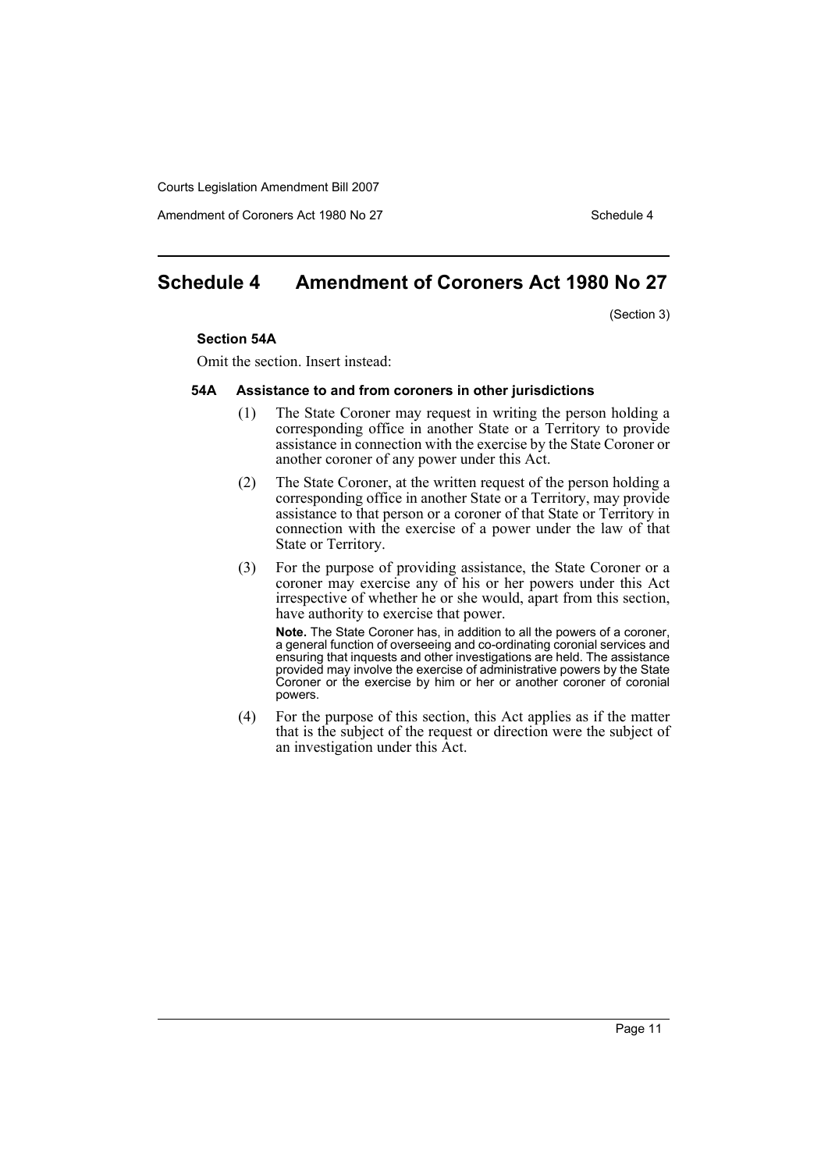Amendment of Coroners Act 1980 No 27 Schedule 4

# **Schedule 4 Amendment of Coroners Act 1980 No 27**

(Section 3)

#### **Section 54A**

Omit the section. Insert instead:

#### **54A Assistance to and from coroners in other jurisdictions**

- (1) The State Coroner may request in writing the person holding a corresponding office in another State or a Territory to provide assistance in connection with the exercise by the State Coroner or another coroner of any power under this Act.
- (2) The State Coroner, at the written request of the person holding a corresponding office in another State or a Territory, may provide assistance to that person or a coroner of that State or Territory in connection with the exercise of a power under the law of that State or Territory.
- (3) For the purpose of providing assistance, the State Coroner or a coroner may exercise any of his or her powers under this Act irrespective of whether he or she would, apart from this section, have authority to exercise that power.

**Note.** The State Coroner has, in addition to all the powers of a coroner, a general function of overseeing and co-ordinating coronial services and ensuring that inquests and other investigations are held. The assistance provided may involve the exercise of administrative powers by the State Coroner or the exercise by him or her or another coroner of coronial powers.

(4) For the purpose of this section, this Act applies as if the matter that is the subject of the request or direction were the subject of an investigation under this Act.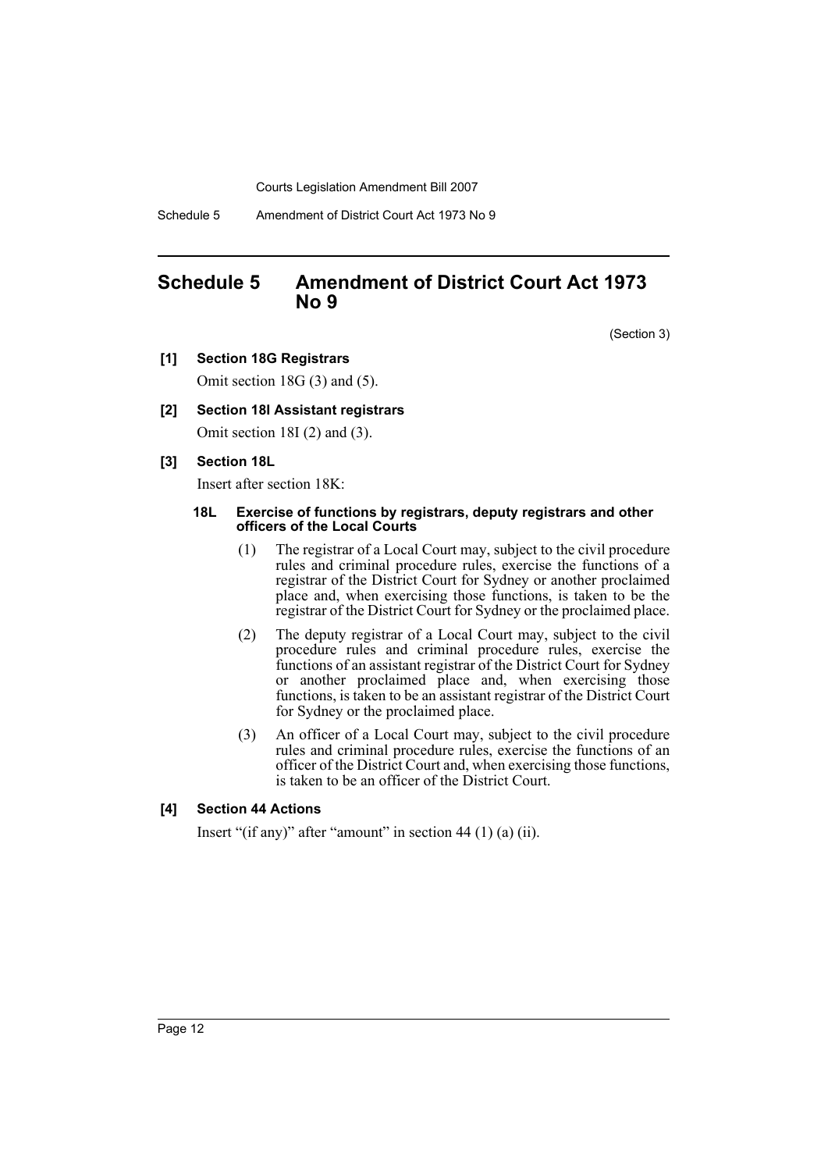Schedule 5 Amendment of District Court Act 1973 No 9

# <span id="page-12-0"></span>**Schedule 5 Amendment of District Court Act 1973 No 9**

(Section 3)

**[1] Section 18G Registrars**

Omit section 18G (3) and (5).

# **[2] Section 18I Assistant registrars**

Omit section 18I (2) and (3).

# **[3] Section 18L**

Insert after section 18K:

#### **18L Exercise of functions by registrars, deputy registrars and other officers of the Local Courts**

- (1) The registrar of a Local Court may, subject to the civil procedure rules and criminal procedure rules, exercise the functions of a registrar of the District Court for Sydney or another proclaimed place and, when exercising those functions, is taken to be the registrar of the District Court for Sydney or the proclaimed place.
- (2) The deputy registrar of a Local Court may, subject to the civil procedure rules and criminal procedure rules, exercise the functions of an assistant registrar of the District Court for Sydney or another proclaimed place and, when exercising those functions, is taken to be an assistant registrar of the District Court for Sydney or the proclaimed place.
- (3) An officer of a Local Court may, subject to the civil procedure rules and criminal procedure rules, exercise the functions of an officer of the District Court and, when exercising those functions, is taken to be an officer of the District Court.

# **[4] Section 44 Actions**

Insert "(if any)" after "amount" in section 44 (1) (a) (ii).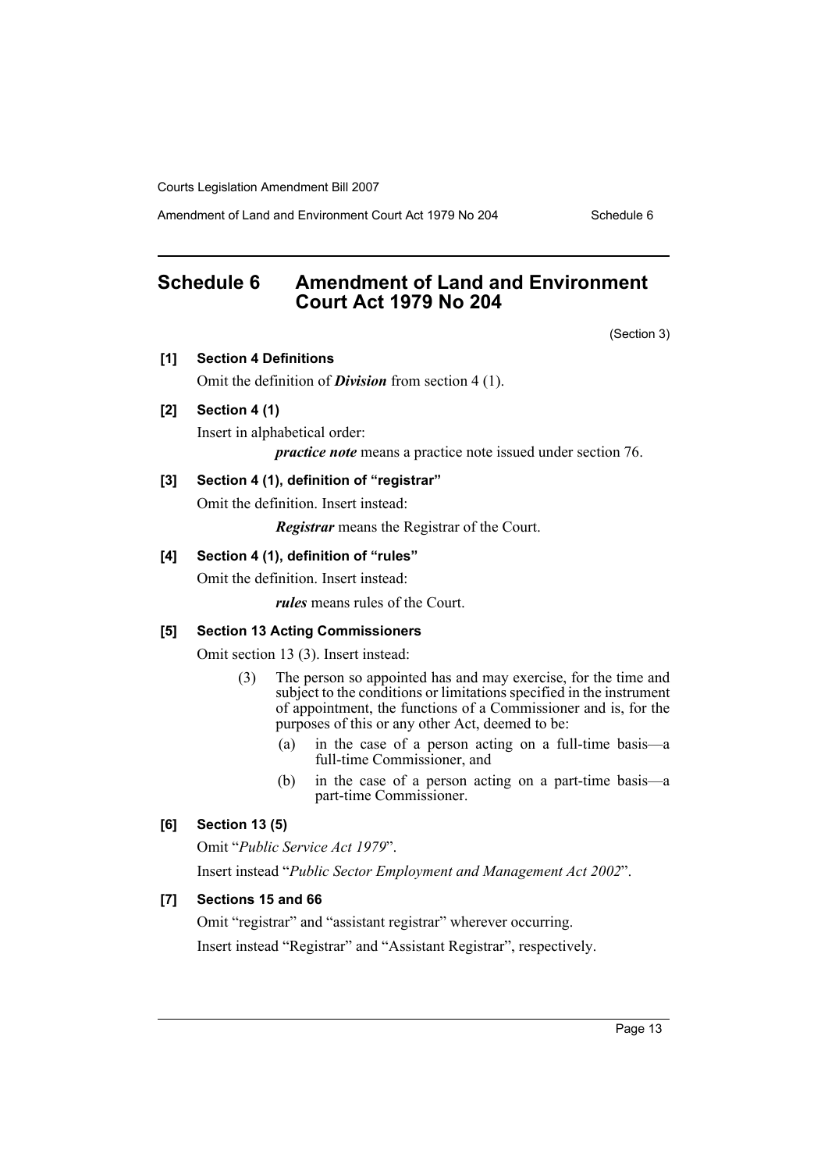Amendment of Land and Environment Court Act 1979 No 204 Schedule 6

# <span id="page-13-0"></span>**Schedule 6 Amendment of Land and Environment Court Act 1979 No 204**

(Section 3)

#### **[1] Section 4 Definitions**

Omit the definition of *Division* from section 4 (1).

# **[2] Section 4 (1)**

Insert in alphabetical order:

*practice note* means a practice note issued under section 76.

# **[3] Section 4 (1), definition of "registrar"**

Omit the definition. Insert instead:

*Registrar* means the Registrar of the Court.

#### **[4] Section 4 (1), definition of "rules"**

Omit the definition. Insert instead:

*rules* means rules of the Court.

# **[5] Section 13 Acting Commissioners**

Omit section 13 (3). Insert instead:

- (3) The person so appointed has and may exercise, for the time and subject to the conditions or limitations specified in the instrument of appointment, the functions of a Commissioner and is, for the purposes of this or any other Act, deemed to be:
	- (a) in the case of a person acting on a full-time basis—a full-time Commissioner, and
	- (b) in the case of a person acting on a part-time basis—a part-time Commissioner.

# **[6] Section 13 (5)**

Omit "*Public Service Act 1979*".

Insert instead "*Public Sector Employment and Management Act 2002*".

# **[7] Sections 15 and 66**

Omit "registrar" and "assistant registrar" wherever occurring.

Insert instead "Registrar" and "Assistant Registrar", respectively.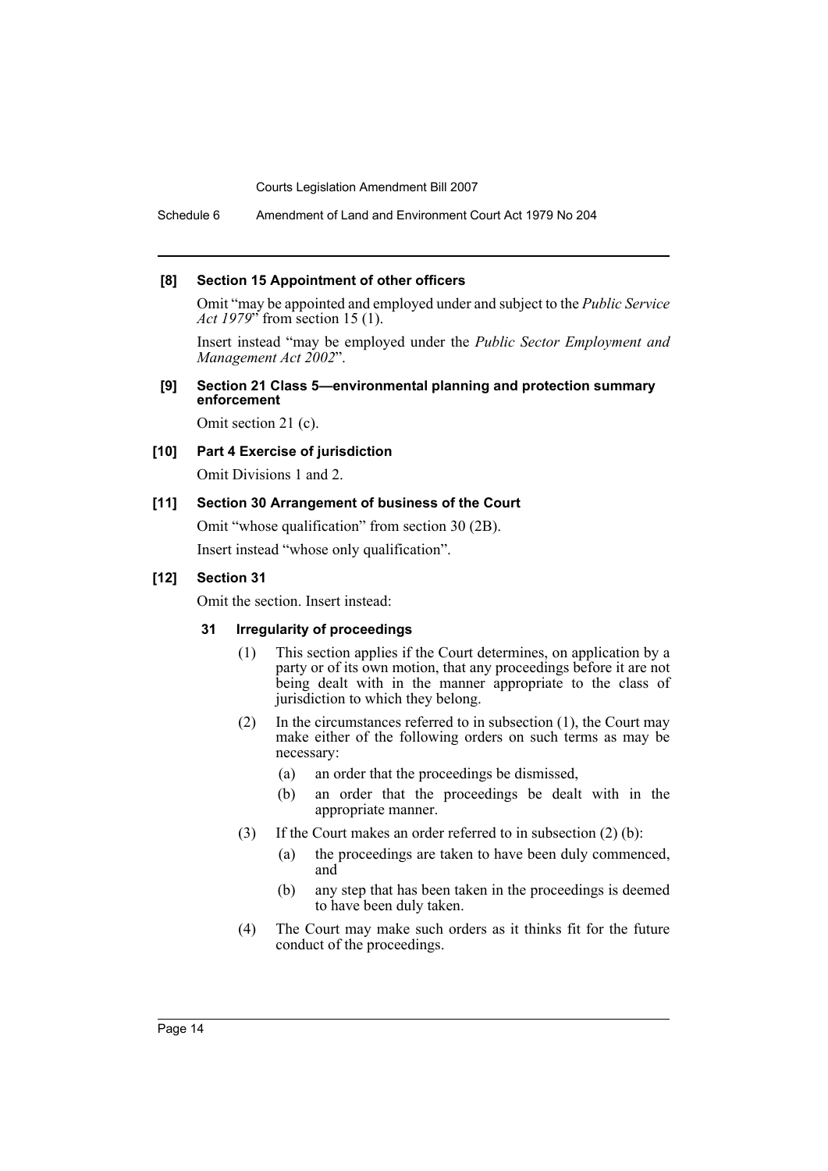Schedule 6 Amendment of Land and Environment Court Act 1979 No 204

#### **[8] Section 15 Appointment of other officers**

Omit "may be appointed and employed under and subject to the *Public Service Act 1979*" from section 15 (1).

Insert instead "may be employed under the *Public Sector Employment and Management Act 2002*".

### **[9] Section 21 Class 5—environmental planning and protection summary enforcement**

Omit section 21 (c).

# **[10] Part 4 Exercise of jurisdiction**

Omit Divisions 1 and 2.

### **[11] Section 30 Arrangement of business of the Court**

Omit "whose qualification" from section 30 (2B).

Insert instead "whose only qualification".

### **[12] Section 31**

Omit the section. Insert instead:

# **31 Irregularity of proceedings**

- (1) This section applies if the Court determines, on application by a party or of its own motion, that any proceedings before it are not being dealt with in the manner appropriate to the class of jurisdiction to which they belong.
- (2) In the circumstances referred to in subsection (1), the Court may make either of the following orders on such terms as may be necessary:
	- (a) an order that the proceedings be dismissed,
	- (b) an order that the proceedings be dealt with in the appropriate manner.
- (3) If the Court makes an order referred to in subsection (2) (b):
	- (a) the proceedings are taken to have been duly commenced, and
	- (b) any step that has been taken in the proceedings is deemed to have been duly taken.
- (4) The Court may make such orders as it thinks fit for the future conduct of the proceedings.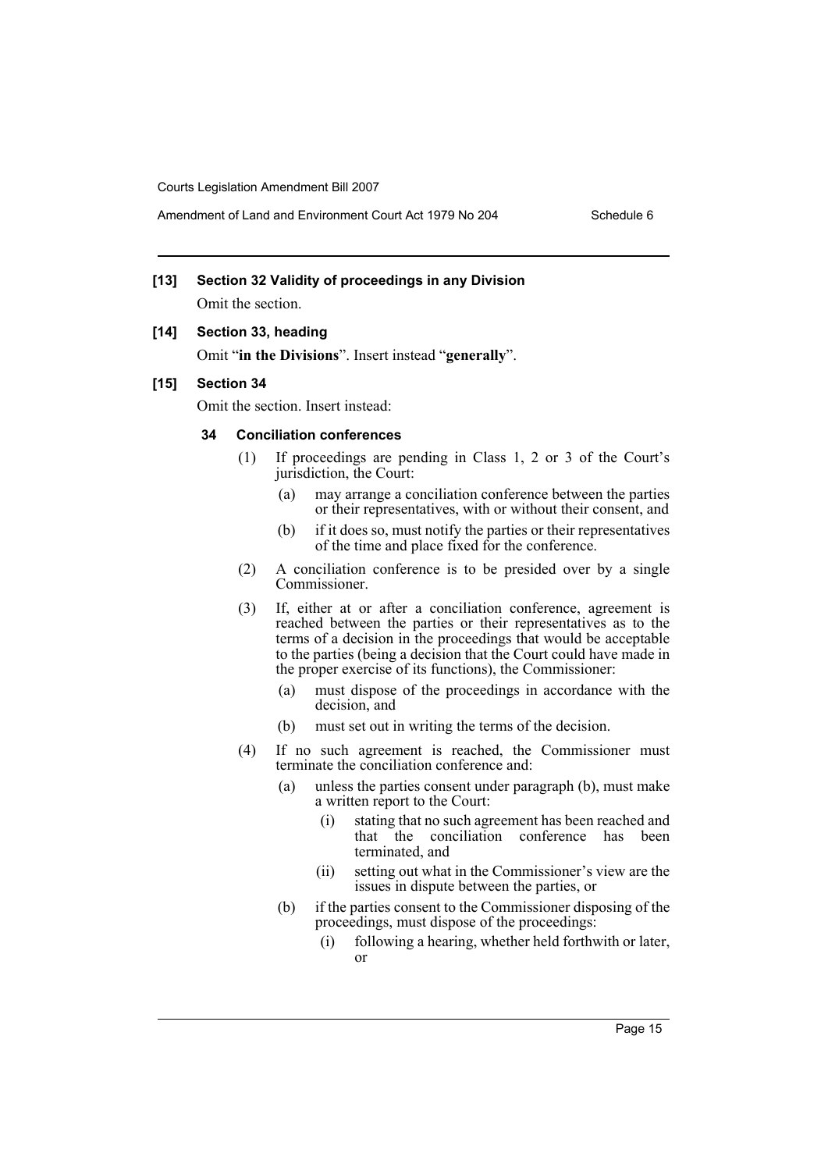# **[13] Section 32 Validity of proceedings in any Division**

Omit the section.

#### **[14] Section 33, heading**

Omit "**in the Divisions**". Insert instead "**generally**".

#### **[15] Section 34**

Omit the section. Insert instead:

# **34 Conciliation conferences**

- (1) If proceedings are pending in Class 1, 2 or 3 of the Court's jurisdiction, the Court:
	- (a) may arrange a conciliation conference between the parties or their representatives, with or without their consent, and
	- (b) if it does so, must notify the parties or their representatives of the time and place fixed for the conference.
- (2) A conciliation conference is to be presided over by a single Commissioner.
- (3) If, either at or after a conciliation conference, agreement is reached between the parties or their representatives as to the terms of a decision in the proceedings that would be acceptable to the parties (being a decision that the Court could have made in the proper exercise of its functions), the Commissioner:
	- (a) must dispose of the proceedings in accordance with the decision, and
	- (b) must set out in writing the terms of the decision.
- (4) If no such agreement is reached, the Commissioner must terminate the conciliation conference and:
	- (a) unless the parties consent under paragraph (b), must make a written report to the Court:
		- (i) stating that no such agreement has been reached and that the conciliation conference has been terminated, and
		- (ii) setting out what in the Commissioner's view are the issues in dispute between the parties, or
	- (b) if the parties consent to the Commissioner disposing of the proceedings, must dispose of the proceedings:
		- (i) following a hearing, whether held forthwith or later, or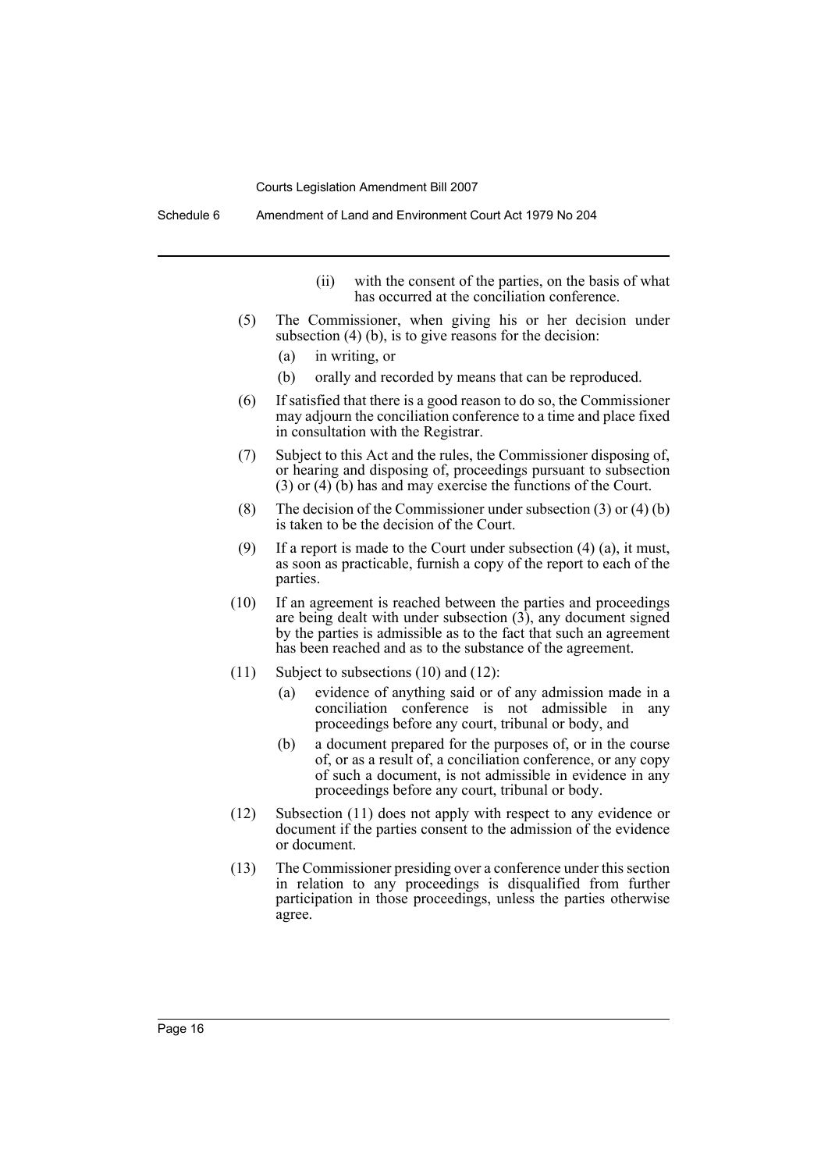Schedule 6 Amendment of Land and Environment Court Act 1979 No 204

- (ii) with the consent of the parties, on the basis of what has occurred at the conciliation conference.
- (5) The Commissioner, when giving his or her decision under subsection (4) (b), is to give reasons for the decision:
	- (a) in writing, or
	- (b) orally and recorded by means that can be reproduced.
- (6) If satisfied that there is a good reason to do so, the Commissioner may adjourn the conciliation conference to a time and place fixed in consultation with the Registrar.
- (7) Subject to this Act and the rules, the Commissioner disposing of, or hearing and disposing of, proceedings pursuant to subsection (3) or (4) (b) has and may exercise the functions of the Court.
- (8) The decision of the Commissioner under subsection (3) or (4) (b) is taken to be the decision of the Court.
- (9) If a report is made to the Court under subsection  $(4)$   $(a)$ , it must, as soon as practicable, furnish a copy of the report to each of the parties.
- (10) If an agreement is reached between the parties and proceedings are being dealt with under subsection  $(3)$ , any document signed by the parties is admissible as to the fact that such an agreement has been reached and as to the substance of the agreement.
- (11) Subject to subsections (10) and (12):
	- (a) evidence of anything said or of any admission made in a conciliation conference is not admissible in any proceedings before any court, tribunal or body, and
	- (b) a document prepared for the purposes of, or in the course of, or as a result of, a conciliation conference, or any copy of such a document, is not admissible in evidence in any proceedings before any court, tribunal or body.
- (12) Subsection (11) does not apply with respect to any evidence or document if the parties consent to the admission of the evidence or document.
- (13) The Commissioner presiding over a conference under this section in relation to any proceedings is disqualified from further participation in those proceedings, unless the parties otherwise agree.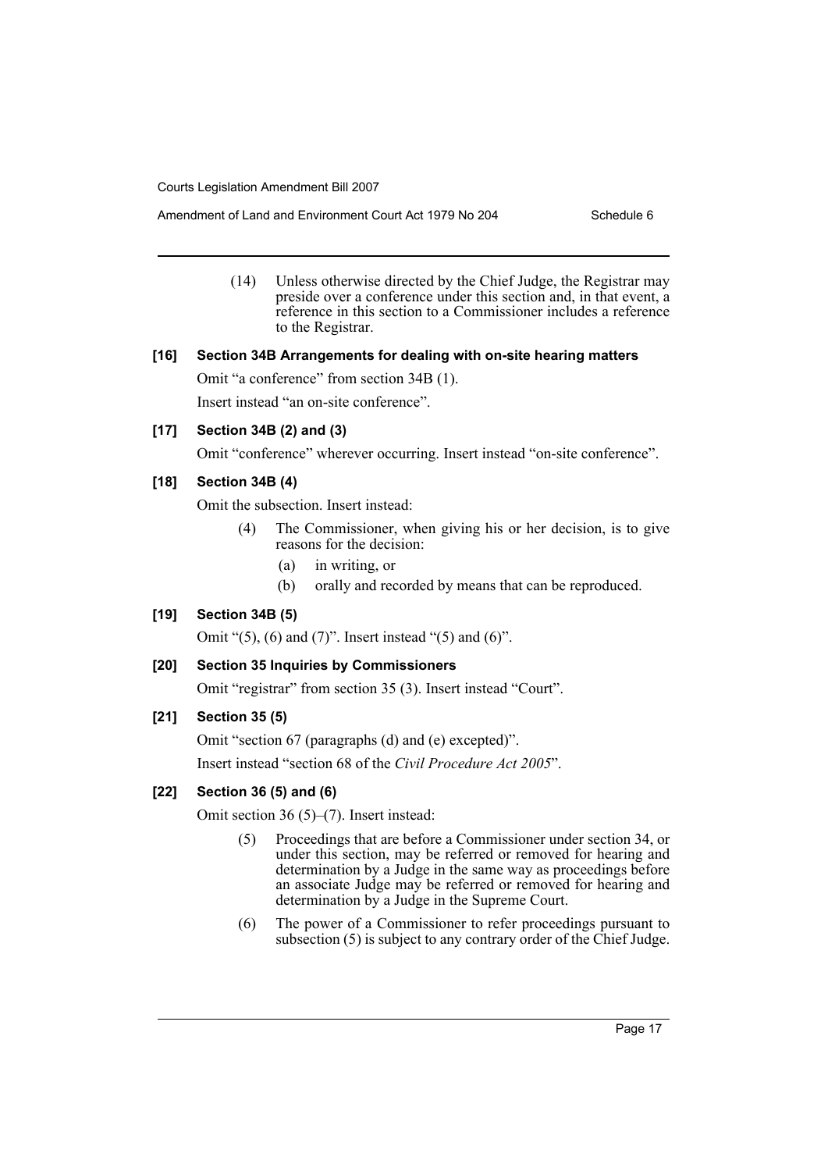Amendment of Land and Environment Court Act 1979 No 204 Schedule 6

(14) Unless otherwise directed by the Chief Judge, the Registrar may preside over a conference under this section and, in that event, a reference in this section to a Commissioner includes a reference to the Registrar.

# **[16] Section 34B Arrangements for dealing with on-site hearing matters**

Omit "a conference" from section 34B (1).

Insert instead "an on-site conference".

# **[17] Section 34B (2) and (3)**

Omit "conference" wherever occurring. Insert instead "on-site conference".

# **[18] Section 34B (4)**

Omit the subsection. Insert instead:

- (4) The Commissioner, when giving his or her decision, is to give reasons for the decision:
	- (a) in writing, or
	- (b) orally and recorded by means that can be reproduced.

# **[19] Section 34B (5)**

Omit " $(5)$ ,  $(6)$  and  $(7)$ ". Insert instead " $(5)$  and  $(6)$ ".

# **[20] Section 35 Inquiries by Commissioners**

Omit "registrar" from section 35 (3). Insert instead "Court".

# **[21] Section 35 (5)**

Omit "section 67 (paragraphs (d) and (e) excepted)". Insert instead "section 68 of the *Civil Procedure Act 2005*".

# **[22] Section 36 (5) and (6)**

Omit section 36 (5)–(7). Insert instead:

- (5) Proceedings that are before a Commissioner under section 34, or under this section, may be referred or removed for hearing and determination by a Judge in the same way as proceedings before an associate Judge may be referred or removed for hearing and determination by a Judge in the Supreme Court.
- (6) The power of a Commissioner to refer proceedings pursuant to subsection (5) is subject to any contrary order of the Chief Judge.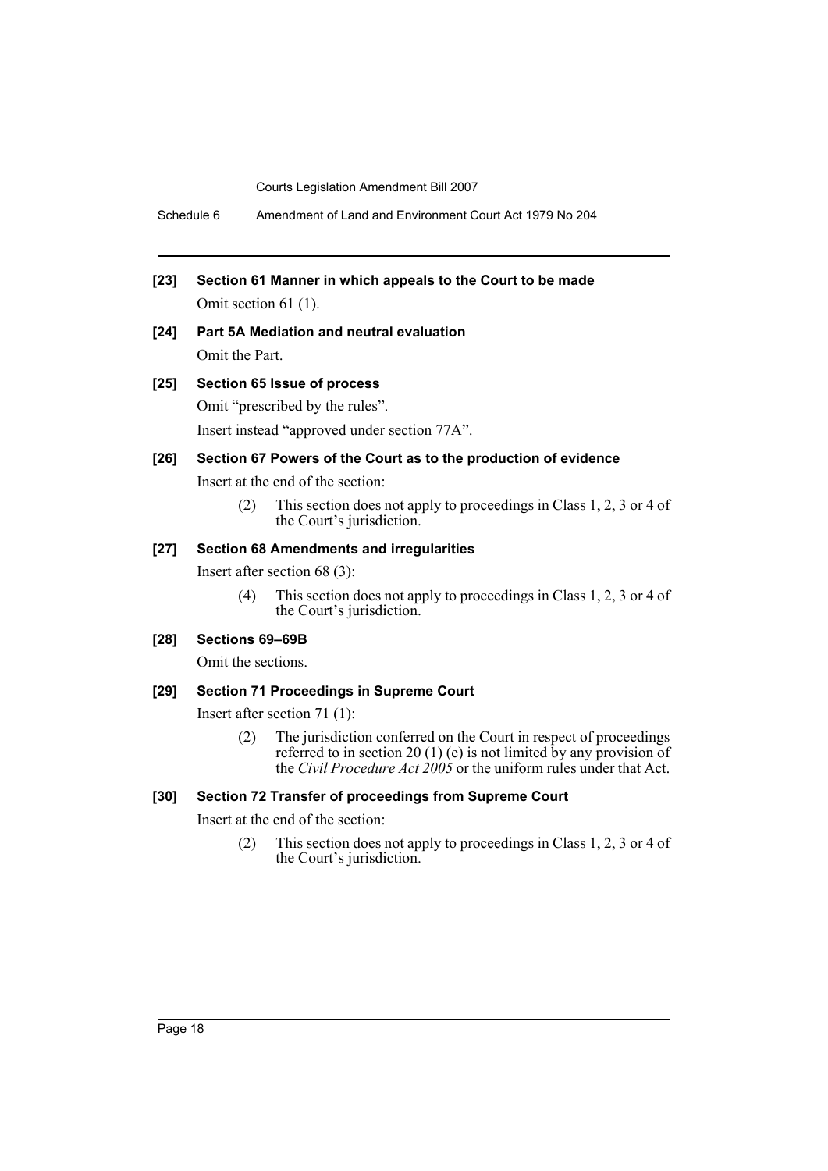Schedule 6 Amendment of Land and Environment Court Act 1979 No 204

- **[23] Section 61 Manner in which appeals to the Court to be made** Omit section 61 (1).
- **[24] Part 5A Mediation and neutral evaluation** Omit the Part.

#### **[25] Section 65 Issue of process**

Omit "prescribed by the rules". Insert instead "approved under section 77A".

#### **[26] Section 67 Powers of the Court as to the production of evidence**

Insert at the end of the section:

(2) This section does not apply to proceedings in Class 1, 2, 3 or 4 of the Court's jurisdiction.

#### **[27] Section 68 Amendments and irregularities**

Insert after section 68 (3):

(4) This section does not apply to proceedings in Class 1, 2, 3 or 4 of the Court's jurisdiction.

#### **[28] Sections 69–69B**

Omit the sections.

#### **[29] Section 71 Proceedings in Supreme Court**

Insert after section 71 (1):

(2) The jurisdiction conferred on the Court in respect of proceedings referred to in section 20 (1) (e) is not limited by any provision of the *Civil Procedure Act 2005* or the uniform rules under that Act.

#### **[30] Section 72 Transfer of proceedings from Supreme Court**

Insert at the end of the section:

(2) This section does not apply to proceedings in Class 1, 2, 3 or 4 of the Court's jurisdiction.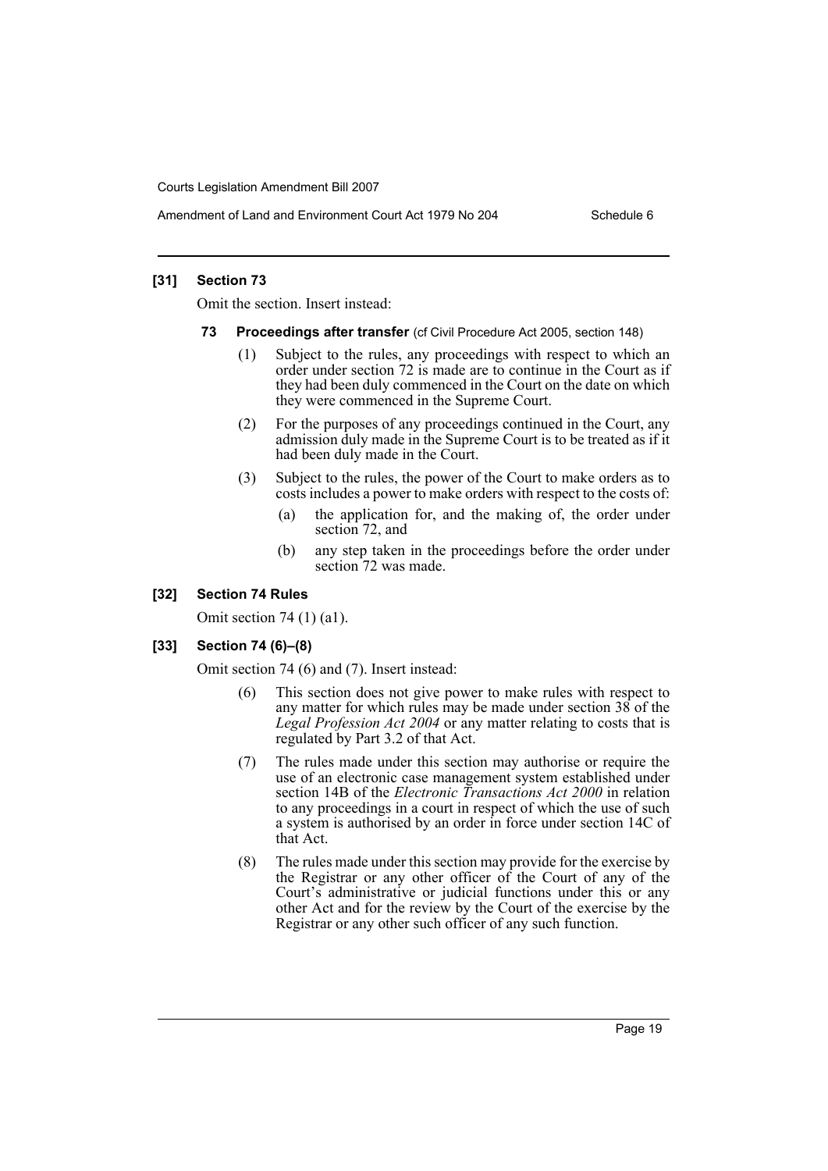Amendment of Land and Environment Court Act 1979 No 204 Schedule 6

### **[31] Section 73**

Omit the section. Insert instead:

- **73 Proceedings after transfer** (cf Civil Procedure Act 2005, section 148)
	- (1) Subject to the rules, any proceedings with respect to which an order under section 72 is made are to continue in the Court as if they had been duly commenced in the Court on the date on which they were commenced in the Supreme Court.
	- (2) For the purposes of any proceedings continued in the Court, any admission duly made in the Supreme Court is to be treated as if it had been duly made in the Court.
	- (3) Subject to the rules, the power of the Court to make orders as to costs includes a power to make orders with respect to the costs of:
		- (a) the application for, and the making of, the order under section 72, and
		- (b) any step taken in the proceedings before the order under section 72 was made.

# **[32] Section 74 Rules**

Omit section 74 (1) (a1).

# **[33] Section 74 (6)–(8)**

Omit section 74 (6) and (7). Insert instead:

- (6) This section does not give power to make rules with respect to any matter for which rules may be made under section  $38$  of the *Legal Profession Act 2004* or any matter relating to costs that is regulated by Part 3.2 of that Act.
- (7) The rules made under this section may authorise or require the use of an electronic case management system established under section 14B of the *Electronic Transactions Act 2000* in relation to any proceedings in a court in respect of which the use of such a system is authorised by an order in force under section 14C of that Act.
- (8) The rules made under this section may provide for the exercise by the Registrar or any other officer of the Court of any of the Court's administrative or judicial functions under this or any other Act and for the review by the Court of the exercise by the Registrar or any other such officer of any such function.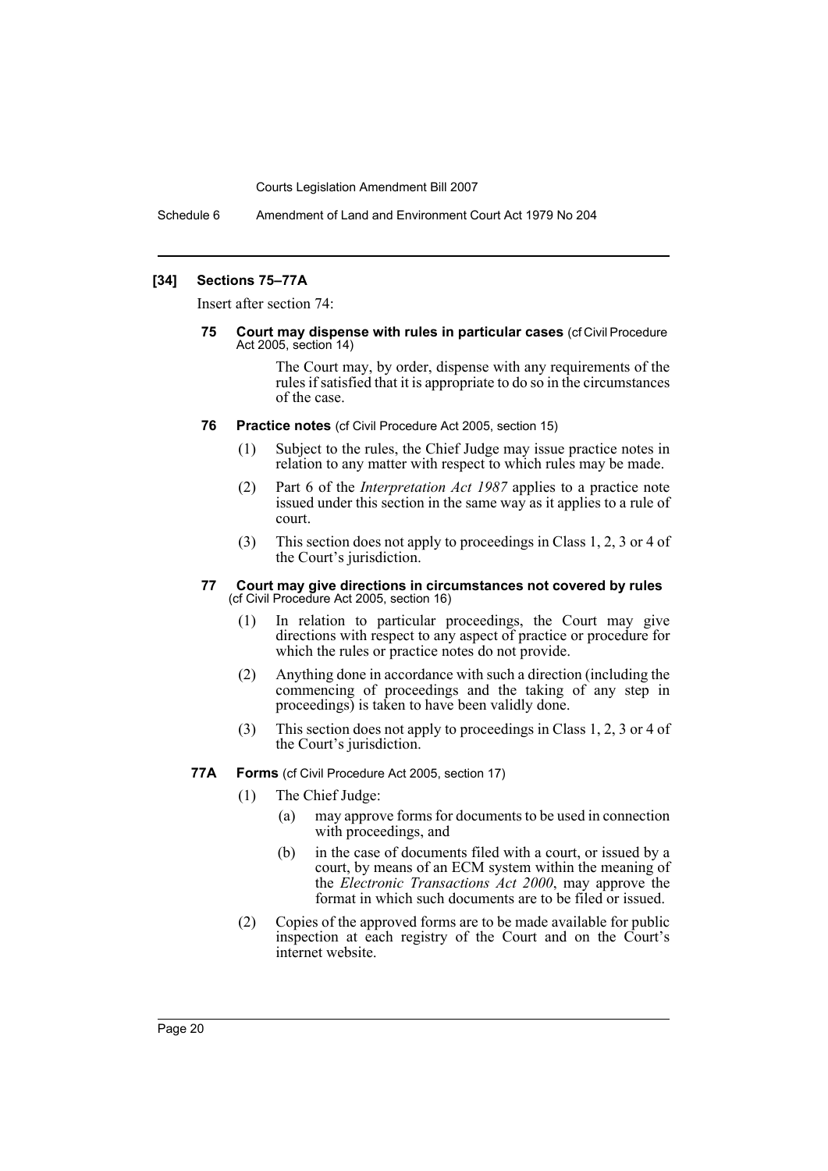Schedule 6 Amendment of Land and Environment Court Act 1979 No 204

#### **[34] Sections 75–77A**

Insert after section 74:

**75 Court may dispense with rules in particular cases** (cf Civil Procedure Act 2005, section 14)

> The Court may, by order, dispense with any requirements of the rules if satisfied that it is appropriate to do so in the circumstances of the case.

- **76 Practice notes** (cf Civil Procedure Act 2005, section 15)
	- (1) Subject to the rules, the Chief Judge may issue practice notes in relation to any matter with respect to which rules may be made.
	- (2) Part 6 of the *Interpretation Act 1987* applies to a practice note issued under this section in the same way as it applies to a rule of court.
	- (3) This section does not apply to proceedings in Class 1, 2, 3 or 4 of the Court's jurisdiction.

#### **77 Court may give directions in circumstances not covered by rules**  (cf Civil Procedure Act 2005, section 16)

- (1) In relation to particular proceedings, the Court may give directions with respect to any aspect of practice or procedure for which the rules or practice notes do not provide.
- (2) Anything done in accordance with such a direction (including the commencing of proceedings and the taking of any step in proceedings) is taken to have been validly done.
- (3) This section does not apply to proceedings in Class 1, 2, 3 or 4 of the Court's jurisdiction.
- **77A Forms** (cf Civil Procedure Act 2005, section 17)
	- (1) The Chief Judge:
		- (a) may approve forms for documents to be used in connection with proceedings, and
		- (b) in the case of documents filed with a court, or issued by a court, by means of an ECM system within the meaning of the *Electronic Transactions Act 2000*, may approve the format in which such documents are to be filed or issued.
	- (2) Copies of the approved forms are to be made available for public inspection at each registry of the Court and on the Court's internet website.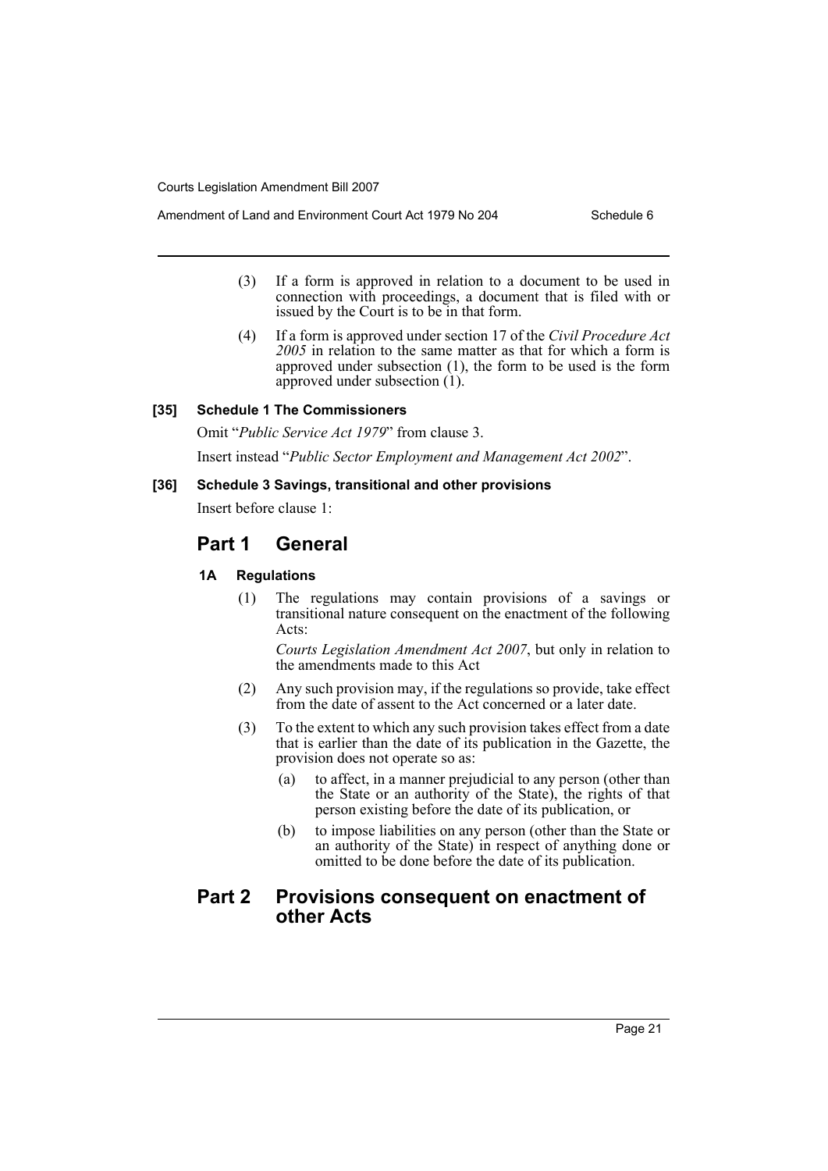- (3) If a form is approved in relation to a document to be used in connection with proceedings, a document that is filed with or issued by the Court is to be in that form.
- (4) If a form is approved under section 17 of the *Civil Procedure Act 2005* in relation to the same matter as that for which a form is approved under subsection (1), the form to be used is the form approved under subsection (1).

#### **[35] Schedule 1 The Commissioners**

Omit "*Public Service Act 1979*" from clause 3.

Insert instead "*Public Sector Employment and Management Act 2002*".

#### **[36] Schedule 3 Savings, transitional and other provisions**

Insert before clause 1:

# **Part 1 General**

#### **1A Regulations**

(1) The regulations may contain provisions of a savings or transitional nature consequent on the enactment of the following Acts:

*Courts Legislation Amendment Act 2007*, but only in relation to the amendments made to this Act

- (2) Any such provision may, if the regulations so provide, take effect from the date of assent to the Act concerned or a later date.
- (3) To the extent to which any such provision takes effect from a date that is earlier than the date of its publication in the Gazette, the provision does not operate so as:
	- (a) to affect, in a manner prejudicial to any person (other than the State or an authority of the State), the rights of that person existing before the date of its publication, or
	- (b) to impose liabilities on any person (other than the State or an authority of the State) in respect of anything done or omitted to be done before the date of its publication.

# **Part 2 Provisions consequent on enactment of other Acts**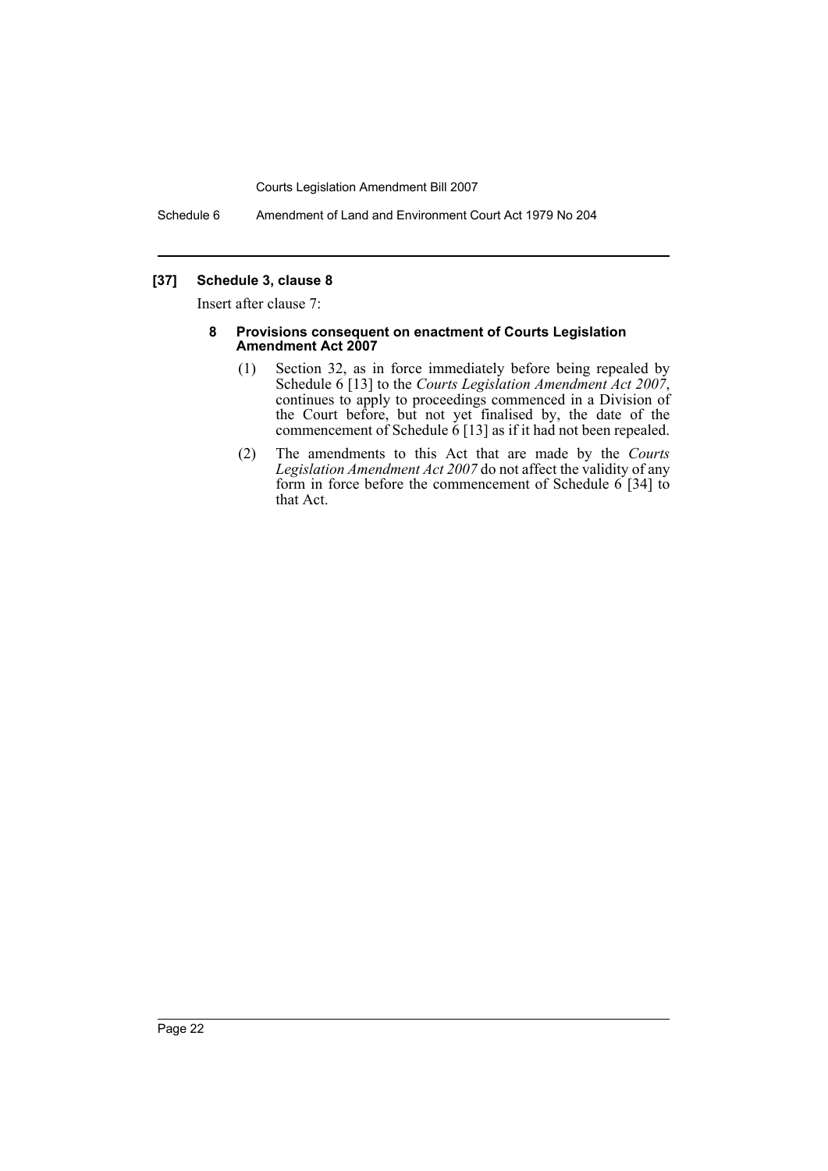Schedule 6 Amendment of Land and Environment Court Act 1979 No 204

# **[37] Schedule 3, clause 8**

Insert after clause 7:

#### **8 Provisions consequent on enactment of Courts Legislation Amendment Act 2007**

- (1) Section 32, as in force immediately before being repealed by Schedule 6<sup>[13]</sup> to the *Courts Legislation Amendment Act 2007*, continues to apply to proceedings commenced in a Division of the Court before, but not yet finalised by, the date of the commencement of Schedule 6 [13] as if it had not been repealed.
- (2) The amendments to this Act that are made by the *Courts Legislation Amendment Act 2007* do not affect the validity of any form in force before the commencement of Schedule 6 [34] to that Act.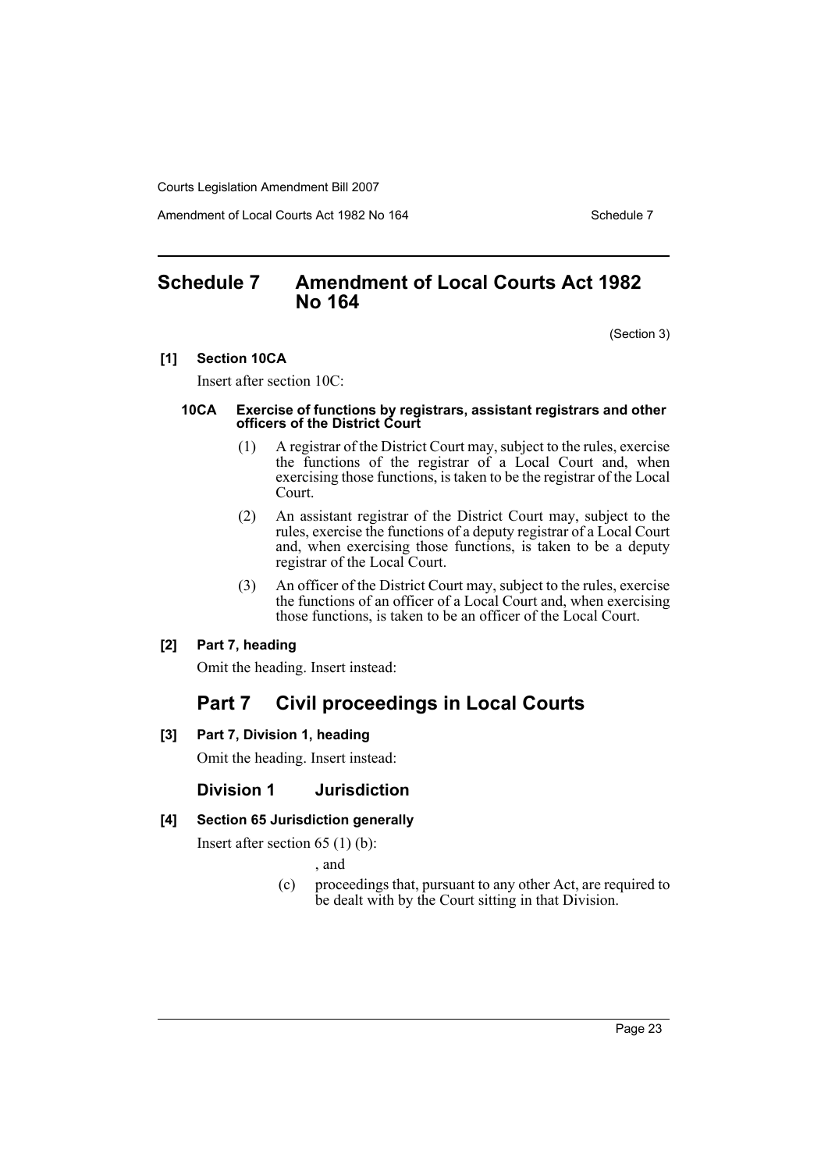Amendment of Local Courts Act 1982 No 164 Schedule 7

# <span id="page-23-0"></span>**Schedule 7 Amendment of Local Courts Act 1982 No 164**

(Section 3)

### **[1] Section 10CA**

Insert after section 10C:

#### **10CA Exercise of functions by registrars, assistant registrars and other officers of the District Court**

- (1) A registrar of the District Court may, subject to the rules, exercise the functions of the registrar of a Local Court and, when exercising those functions, is taken to be the registrar of the Local Court.
- (2) An assistant registrar of the District Court may, subject to the rules, exercise the functions of a deputy registrar of a Local Court and, when exercising those functions, is taken to be a deputy registrar of the Local Court.
- (3) An officer of the District Court may, subject to the rules, exercise the functions of an officer of a Local Court and, when exercising those functions, is taken to be an officer of the Local Court.

# **[2] Part 7, heading**

Omit the heading. Insert instead:

# **Part 7 Civil proceedings in Local Courts**

**[3] Part 7, Division 1, heading**

Omit the heading. Insert instead:

# **Division 1 Jurisdiction**

# **[4] Section 65 Jurisdiction generally**

Insert after section 65 (1) (b):

, and

(c) proceedings that, pursuant to any other Act, are required to be dealt with by the Court sitting in that Division.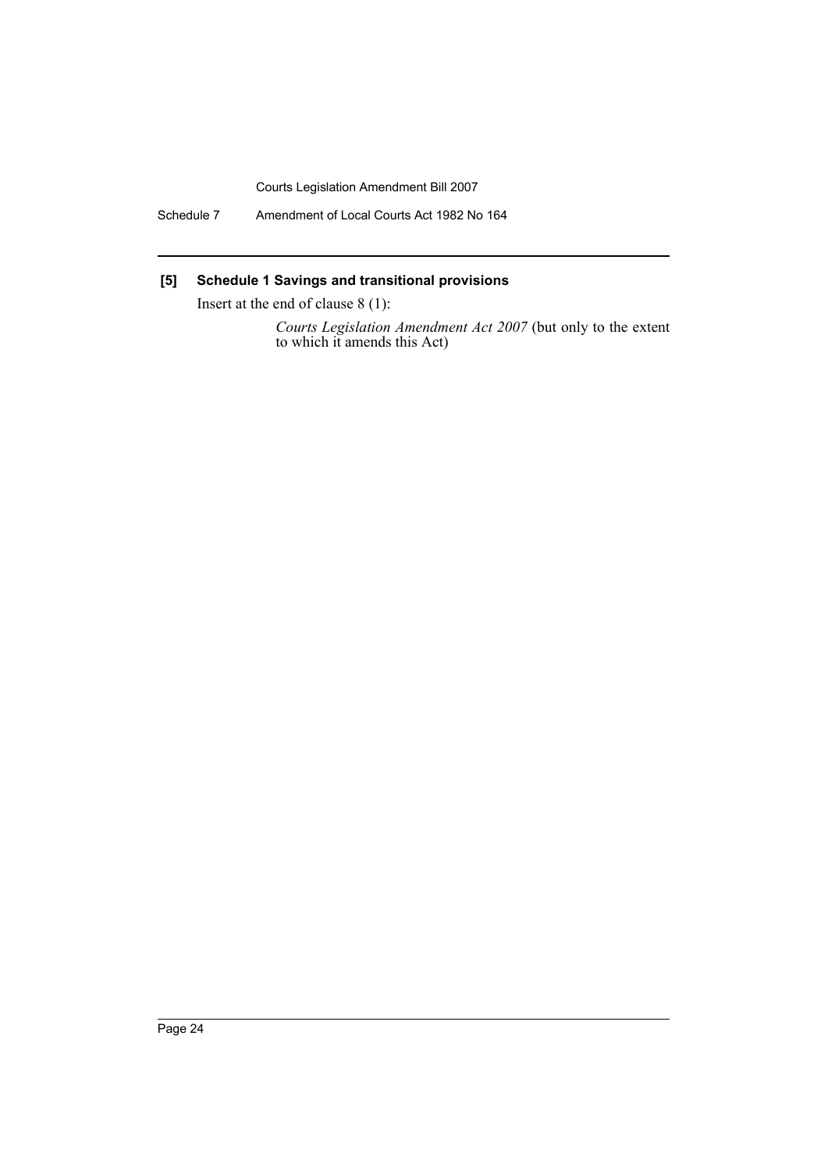Schedule 7 Amendment of Local Courts Act 1982 No 164

# **[5] Schedule 1 Savings and transitional provisions**

Insert at the end of clause 8 (1):

*Courts Legislation Amendment Act 2007* (but only to the extent to which it amends this Act)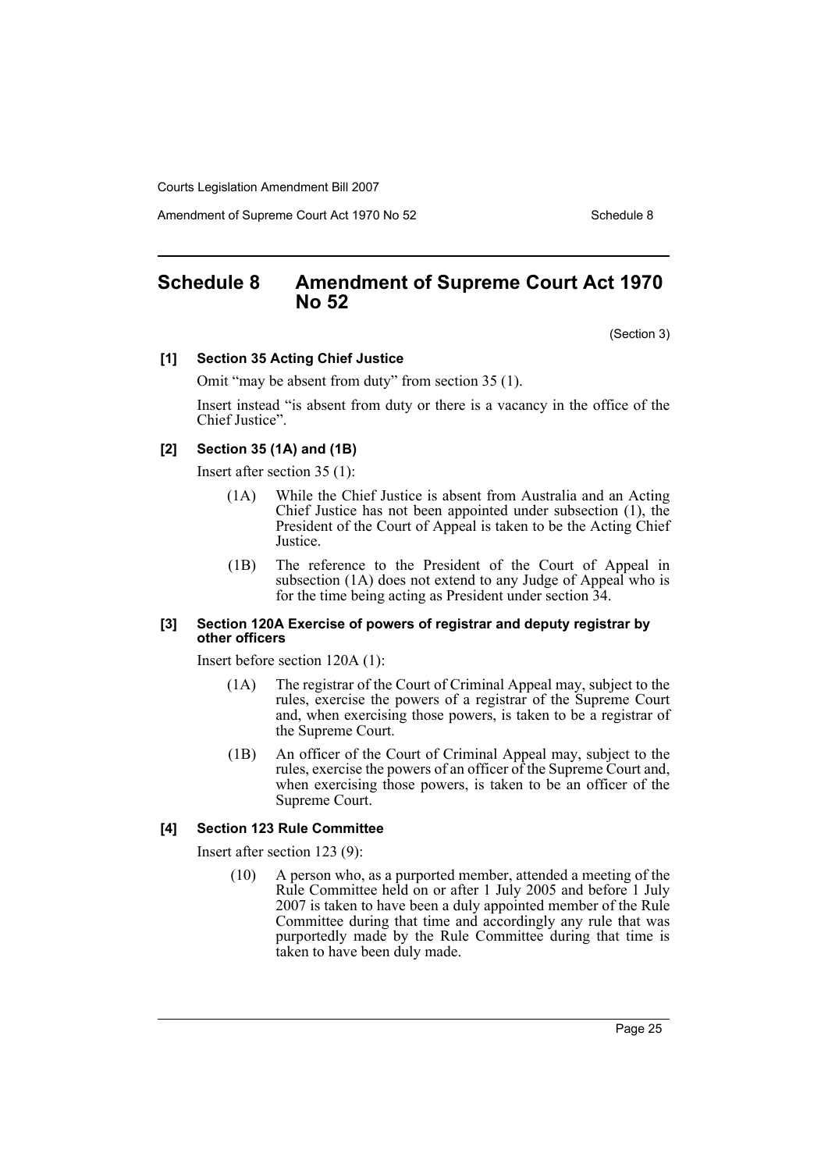Amendment of Supreme Court Act 1970 No 52 Schedule 8

# <span id="page-25-0"></span>**Schedule 8 Amendment of Supreme Court Act 1970 No 52**

(Section 3)

#### **[1] Section 35 Acting Chief Justice**

Omit "may be absent from duty" from section 35 (1).

Insert instead "is absent from duty or there is a vacancy in the office of the Chief Justice".

#### **[2] Section 35 (1A) and (1B)**

Insert after section 35 (1):

- (1A) While the Chief Justice is absent from Australia and an Acting Chief Justice has not been appointed under subsection (1), the President of the Court of Appeal is taken to be the Acting Chief Justice.
- (1B) The reference to the President of the Court of Appeal in subsection (1A) does not extend to any Judge of Appeal who is for the time being acting as President under section 34.

#### **[3] Section 120A Exercise of powers of registrar and deputy registrar by other officers**

Insert before section 120A (1):

- (1A) The registrar of the Court of Criminal Appeal may, subject to the rules, exercise the powers of a registrar of the Supreme Court and, when exercising those powers, is taken to be a registrar of the Supreme Court.
- (1B) An officer of the Court of Criminal Appeal may, subject to the rules, exercise the powers of an officer of the Supreme Court and, when exercising those powers, is taken to be an officer of the Supreme Court.

# **[4] Section 123 Rule Committee**

Insert after section 123 (9):

(10) A person who, as a purported member, attended a meeting of the Rule Committee held on or after 1 July 2005 and before 1 July 2007 is taken to have been a duly appointed member of the Rule Committee during that time and accordingly any rule that was purportedly made by the Rule Committee during that time is taken to have been duly made.